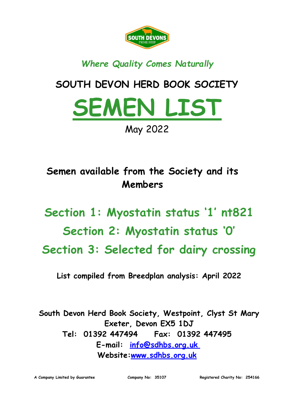

## *Where Quality Comes Naturally*

# **SOUTH DEVON HERD BOOK SOCIETY**



**Semen available from the Society and its Members**

**Section 1: Myostatin status '1' nt821 Section 2: Myostatin status '0' Section 3: Selected for dairy crossing**

**List compiled from Breedplan analysis: April 2022**

**South Devon Herd Book Society, Westpoint, Clyst St Mary Exeter, Devon EX5 1DJ Tel: 01392 447494 Fax: 01392 447495 E-mail: [info@sdhbs.org.uk](mailto:info@sdhbs.org.uk)  Website[:www.sdhbs.org.uk](http://www.sdhbs.org.uk/)**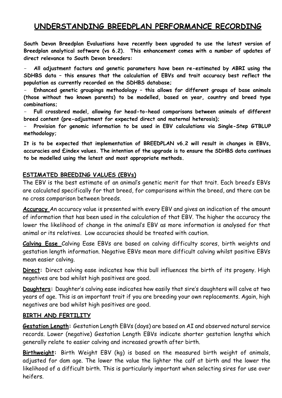### **UNDERSTANDING BREEDPLAN PERFORMANCE RECORDING**

**South Devon Breedplan Evaluations have recently been upgraded to use the latest version of Breedplan analytical software (vs 6.2). This enhancement comes with a number of updates of direct relevance to South Devon breeders:**

- **All adjustment factors and genetic parameters have been re-estimated by ABRI using the SDHBS data – this ensures that the calculation of EBVs and trait accuracy best reflect the population as currently recorded on the SDHBS database;**

- **Enhanced genetic groupings methodology – this allows for different groups of base animals (those without two known parents) to be modelled, based on year, country and breed type combinations;**

- **Full crossbred model, allowing for head-to-head comparisons between animals of different breed content (pre-adjustment for expected direct and maternal heterosis);**

- **Provision for genomic information to be used in EBV calculations via Single-Step GTBLUP methodology;**

**It is to be expected that implementation of BREEDPLAN v6.2 will result in changes in EBVs, accuracies and £index values. The intention of the upgrade is to ensure the SDHBS data continues to be modelled using the latest and most appropriate methods.**

#### **ESTIMATED BREEDING VALUES (EBVs)**

The EBV is the best estimate of an animal's genetic merit for that trait. Each breed's EBVs are calculated specifically for that breed, for comparisons within the breed, and there can be no cross comparison between breeds.

**Accuracy** An accuracy value is presented with every EBV and gives an indication of the amount of information that has been used in the calculation of that EBV. The higher the accuracy the lower the likelihood of change in the animal's EBV as more information is analysed for that animal or its relatives. Low accuracies should be treated with caution.

**Calving Ease** Calving Ease EBVs are based on calving difficulty scores, birth weights and gestation length information. Negative EBVs mean more difficult calving whilst positive EBVs mean easier calving.

**Direct:** Direct calving ease indicates how this bull influences the birth of its progeny. High negatives are bad whilst high positives are good.

**Daughters:** Daughter's calving ease indicates how easily that sire's daughters will calve at two years of age. This is an important trait if you are breeding your own replacements. Again, high negatives are bad whilst high positives are good.

#### **BIRTH AND FERTILITY**

**Gestation Length:** Gestation Length EBVs (days) are based on AI and observed natural service records. Lower (negative) Gestation Length EBVs indicate shorter gestation lengths which generally relate to easier calving and increased growth after birth.

**Birthweight:** Birth Weight EBV (kg) is based on the measured birth weight of animals, adjusted for dam age. The lower the value the lighter the calf at birth and the lower the likelihood of a difficult birth. This is particularly important when selecting sires for use over heifers.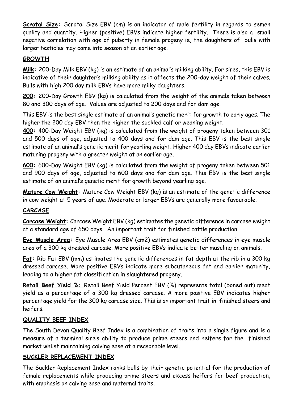**Scrotal Size:** Scrotal Size EBV (cm) is an indicator of male fertility in regards to semen quality and quantity. Higher (positive) EBVs indicate higher fertility. There is also a small negative correlation with age of puberty in female progeny ie, the daughters of bulls with larger testicles may come into season at an earlier age.

#### **GROWTH**

**Milk:** 200-Day Milk EBV (kg) is an estimate of an animal's milking ability. For sires, this EBV is indicative of their daughter's milking ability as it affects the 200-day weight of their calves. Bulls with high 200 day milk EBVs have more milky daughters.

**200:** 200-Day Growth EBV (kg) is calculated from the weight of the animals taken between 80 and 300 days of age. Values are adjusted to 200 days and for dam age.

This EBV is the best single estimate of an animal's genetic merit for growth to early ages. The higher the 200 day EBV then the higher the suckled calf or weaning weight.

**400:** 400-Day Weight EBV (kg) is calculated from the weight of progeny taken between 301 and 500 days of age, adjusted to 400 days and for dam age. This EBV is the best single estimate of an animal's genetic merit for yearling weight. Higher 400 day EBVs indicate earlier maturing progeny with a greater weight at an earlier age.

**600:** 600-Day Weight EBV (kg) is calculated from the weight of progeny taken between 501 and 900 days of age, adjusted to 600 days and for dam age. This EBV is the best single estimate of an animal's genetic merit for growth beyond yearling age.

**Mature Cow Weight:** Mature Cow Weight EBV (kg) is an estimate of the genetic difference in cow weight at 5 years of age. Moderate or larger EBVs are generally more favourable.

#### **CARCASE**

**Carcase Weight:** Carcase Weight EBV (kg) estimates the genetic difference in carcase weight at a standard age of 650 days. An important trait for finished cattle production.

**Eye Muscle Area:** Eye Muscle Area EBV (cm2) estimates genetic differences in eye muscle area of a 300 kg dressed carcase. More positive EBVs indicate better muscling on animals.

**Fat:** Rib Fat EBV (mm) estimates the genetic differences in fat depth at the rib in a 300 kg dressed carcase. More positive EBVs indicate more subcutaneous fat and earlier maturity, leading to a higher fat classification in slaughtered progeny.

**Retail Beef Yield %:** Retail Beef Yield Percent EBV (%) represents total (boned out) meat yield as a percentage of a 300 kg dressed carcase. A more positive EBV indicates higher percentage yield for the 300 kg carcase size. This is an important trait in finished steers and heifers.

#### **QUALITY BEEF INDEX**

The South Devon Quality Beef Index is a combination of traits into a single figure and is a measure of a terminal sire's ability to produce prime steers and heifers for the finished market whilst maintaining calving ease at a reasonable level.

#### **SUCKLER REPLACEMENT INDEX**

The Suckler Replacement Index ranks bulls by their genetic potential for the production of female replacements while producing prime steers and excess heifers for beef production, with emphasis on calving ease and maternal traits.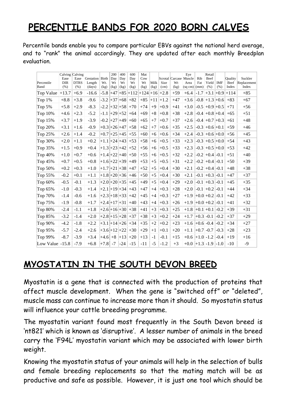# **PERCENTILE BANDS FOR 2020 BORN CALVES**

Percentile bands enable you to compare particular EBVs against the national herd average, and to "rank" the animal accordingly. They are updated after each monthly Breedplan evaluation.

| Percentile<br>Band | Calving Calving<br>Ease<br><b>DIR</b><br>(% ) | Ease<br><b>DTRS</b><br>(% ) | Gestation Birth<br>Length<br>(days) | Wt.<br>(kg)      | 200<br>Day<br>Wt<br>(kg) | 400<br>Day<br>Wt<br>(kg) | 600<br>Day<br>Wt<br>(kg) | Mat<br>Cow<br>Wt<br>(kg) | Milk<br>(kg) | Size<br>(cm) | Scrotal Carcase Muscle<br>Wt<br>(kg) | Eye<br>Area<br>$(sq cm)$ (mm) | Rib<br>Fat    | Retail<br>Beef<br>Yield<br>(% ) | <b>IMF</b><br>(% ) | Ouality<br>Beef<br>Index | Suckler<br>Replacement<br>Index |
|--------------------|-----------------------------------------------|-----------------------------|-------------------------------------|------------------|--------------------------|--------------------------|--------------------------|--------------------------|--------------|--------------|--------------------------------------|-------------------------------|---------------|---------------------------------|--------------------|--------------------------|---------------------------------|
| Top Value          | $ +13.7$                                      | $+6.9$                      | $-16.6$                             |                  |                          |                          | $-5.8$ +47 +85 +112      | $+124+16+2.8$            |              |              | $+59$                                | $+6.4$                        | $-1.7$        | $+3.1 + 0.9$                    |                    | $+114$                   | $+85$                           |
| Top $1\%$          | $+8.8$                                        | $+3.8$                      | $-9.6$                              |                  |                          | $-3.2$ +37 +68           | $+82$                    | $+85$                    | $+11$        | $+1.2$       | $+47$                                | $+3.6$                        |               | $-0.8$ +1.3 +0.6                |                    | $+83$                    | $+67$                           |
| Top 5%             | $+5.8$                                        | $+2.9$                      | $-8.3$                              | $-2.2$           |                          | $+32+58$                 | $+70$                    | $+74$                    | $+9$         | $+0.9$       | $+41$                                | $+3.0$                        |               | $-0.5$ +0.9 +0.5                |                    | $+71$                    | $+56$                           |
| Top 10%            | $+4.6$                                        | $+2.3$                      | $-5.2$                              | $-1.1$           |                          | $ +29 +52 $              | $+64$                    | $+69$                    | $+8$         | $+0.8$       | $+38$                                | $+2.8$                        |               | $-0.4$ +0.8 +0.4                |                    | $+65$                    | $+51$                           |
| Top 15%            | $+3.7$                                        | $+1.9$                      | $-3.9$                              |                  |                          | $-0.2$ +27 +49           | $+60$                    | $+65$                    | $+7$         | $+0.7$       | $+37$                                | $+2.6$                        |               | $-0.4$ +0.7 +0.3                |                    | $+61$                    | $+48$                           |
| Top 20%            | $+3.1$                                        | $+1.6$                      | $-0.9$                              | $+0.3 +26 +47 $  |                          |                          | $+58$                    | $+62$                    | $+7$         | $+0.6$       | $+35$                                | $+2.5$                        |               | $-0.3$ +0.6 +0.1                |                    | $+59$                    | $+46$                           |
| Top 25%            | $+2.6$                                        | $+1.4$                      | $-0.2$                              | $+0.7$ +25 +45   |                          |                          | $+55$                    | $+60$                    | $+6$         | $+0.6$       | $+34$                                | $+2.4$                        |               | $-0.3$ +0.6 +0.0                |                    | $+56$                    | $+45$                           |
| Top 30%            | $+2.0$                                        | $+1.1$                      | $+0.2$                              | $+1.1 +24 +43 $  |                          |                          | $+53$                    | $+58$                    | $+6$         | $+0.5$       | $+33$                                | $+2.3$                        | $-0.3$        | $+0.5 + 0.0$                    |                    | $+54$                    | $+43$                           |
| Top 35%            | $+1.5$                                        | $+0.9$                      | $+0.4$                              | $+1.3 + 23 + 42$ |                          |                          | $+52$                    | $+56$                    | $+6$         | $+0.5$       | $+33$                                | $+2.3$                        |               | $-0.3$ +0.5 +0.0                |                    | $+53$                    | $+42$                           |
| Top 40%            | $+1.0$                                        | $+0.7$                      | $+0.6$                              | $+1.4 +22 +40 $  |                          |                          | $+50$                    | $+55$                    | $+6$         | $+0.5$       | $+32$                                | $+2.2$                        | $-0.2$        | $+0.4$ -0.1                     |                    | $+51$                    | $+40$                           |
| Top 45%            | $+0.7$                                        | $+0.5$                      | $+0.8$                              | $+1.6 +22 +39 $  |                          |                          | $+49$                    | $+53$                    | $+5$         | $+0.5$       | $+31$                                | $+2.2$                        | $-0.2$        | $+0.4$                          | $ -0.1$            | $+50$                    | $+39$                           |
| Top 50%            | $+0.2$                                        | $+0.3$                      | $+1.0$                              | $+1.7 + 21 + 38$ |                          |                          | $+47$                    | $+52$                    | $+5$         | $+0.4$       | $+30$                                | $+2.1$                        |               | $-0.2$ +0.4                     | $-0.1$             | $+48$                    | $+38$                           |
| Top 55%            | $-0.2$                                        | $+0.1$                      | $+1.1$                              | $+1.8 + 20 + 36$ |                          |                          | $+46$                    | $+50$                    | $+5$         | $+0.4$       | $+30$                                | $+2.1$                        | $-0.1$        | $+0.3$                          | $-0.1$             | $+47$                    | $+37$                           |
| Top 60%            | $-0.5$                                        | $-0.1$                      | $+1.3$                              | $+2.0 + 20 + 35$ |                          |                          | $+45$                    | $+49$                    | $+5$         | $+0.4$       | $+29$                                | $+2.0$                        |               | $-0.1$ +0.3                     | $-0.1$             | $+45$                    | $+35$                           |
| Top 65%            | $-1.0$                                        | $-0.3$                      | $+1.4$                              | $+2.1 +19 +34 $  |                          |                          | $+43$                    | $+47$                    | $+4$         | $+0.3$       | $+28$                                | $+2.0$                        |               | $-0.1$ +0.2                     | $-0.1$             | $+44$                    | $+34$                           |
| Top 70%            | $-1.4$                                        | $-0.6$                      | $+1.6$                              | $+2.3 + 18 + 33$ |                          |                          | $+42$                    | $+45$                    | $+4$         | $+0.3$       | $+27$                                | $+1.9$                        |               | $+0.0 + 0.2$                    | $-0.1$             | $+42$                    | $+33$                           |
| Top 75%            | $-1.9$                                        | $-0.8$                      | $+1.7$                              | $+2.4 + 17 + 31$ |                          |                          | $+40$                    | $+43$                    | $+4$         | $+0.3$       | $+26$                                | $+1.9$                        |               | $+0.0 + 0.2$                    | $-0.1$             | $+41$                    | $+32$                           |
| Top 80%            | $-2.4$                                        | $-1.1$                      | $+1.8$                              | $+2.6 +16 +30 $  |                          |                          | $+38$                    | $+41$                    | $+3$         | $+0.3$       | $+25$                                | $+1.8$                        |               | $+0.1 + 0.1$                    | $-0.2$             | $+39$                    | $+31$                           |
| Top 85%            | $-3.2$                                        | $-1.4$                      | $+2.0$                              | $+2.8 + 15 + 28$ |                          |                          | $+37$                    | $+38$                    | $+3$         | $+0.2$       | $+24$                                | $+1.7$                        | $+0.3$        | $-0.1$                          | $-0.2$             | $+37$                    | $+29$                           |
| Top 90%            | $-4.2$                                        | $-1.8$                      | $+2.2$                              | $+3.1 +14 +26 $  |                          |                          | $+34$                    | $+35$                    | $+2$         | $+0.2$       | $+23$                                | $+1.6$ +0.6 -0.4              |               |                                 | $-0.2$             | $+34$                    | $+27$                           |
| Top 95%            | $-5.7$                                        | $-2.4$                      | $+2.6$                              | $+3.6 + 12 + 22$ |                          |                          | $+30$                    | $+29$                    | $+1$         | $+0.1$       | $+20$                                | $+1.1$                        | $+0.7$        | $-0.7$                          | $-0.3$             | $+28$                    | $+23$                           |
| Top 99%            | $-8.7$                                        | $-3.9$                      | $+3.4$                              | $+4.6$ +8        |                          | $+13$                    | $+20$                    | $+13$                    | $-1$         | $-0.1$       | $+15$                                | $+0.6$                        | $ +1.0 $ -1.2 |                                 | $-0.4$             | $+19$                    | $+16$                           |
| Low Value $ -15.8$ |                                               | $-7.9$                      | $+6.8$                              | $+7.8$           | $-7$                     | $-24$                    | $-15$                    | $-11$                    | $-5$         | $-1.2$       | $+3$                                 | $+0.0$ +1.3 -1.9              |               |                                 | $-1.0$             | $-10$                    | $-9$                            |

## **MYOSTATIN IN THE SOUTH DEVON BREED**

Myostatin is a gene that is connected with the production of proteins that affect muscle development. When the gene is "switched off" or "deleted", muscle mass can continue to increase more than it should. So myostatin status will influence your cattle breeding programme.

The myostatin variant found most frequently in the South Devon breed is 'nt821' which is known as 'disruptive'. A lesser number of animals in the breed carry the 'F94L' myostatin variant which may be associated with lower birth weight.

Knowing the myostatin status of your animals will help in the selection of bulls and female breeding replacements so that the mating match will be as productive and safe as possible. However, it is just one tool which should be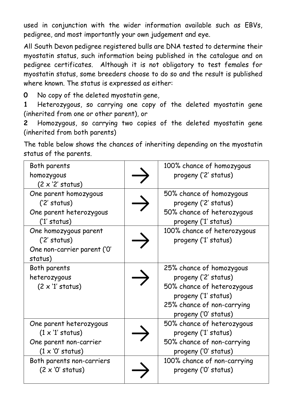used in conjunction with the wider information available such as EBVs, pedigree, and most importantly your own judgement and eye.

All South Devon pedigree registered bulls are DNA tested to determine their myostatin status, such information being published in the catalogue and on pedigree certificates. Although it is not obligatory to test females for myostatin status, some breeders choose to do so and the result is published where known. The status is expressed as either:

**0** No copy of the deleted myostatin gene,

**1** Heterozygous, so carrying one copy of the deleted myostatin gene (inherited from one or other parent), or

**2** Homozygous, so carrying two copies of the deleted myostatin gene (inherited from both parents)

The table below shows the chances of inheriting depending on the myostatin status of the parents.

| Both parents<br>homozygous<br>$(2 \times 2'$ status)                                                    | 100% chance of homozygous<br>progeny ('2' status)                                                                                                            |
|---------------------------------------------------------------------------------------------------------|--------------------------------------------------------------------------------------------------------------------------------------------------------------|
| One parent homozygous<br>('2' status)<br>One parent heterozygous<br>('1' status)                        | 50% chance of homozygous<br>progeny ('2' status)<br>50% chance of heterozygous<br>progeny ('1' status)                                                       |
| One homozygous parent<br>('2' status)<br>One non-carrier parent ('O'<br>status)                         | 100% chance of heterozygous<br>progeny ('1' status)                                                                                                          |
| Both parents<br>heterozygous<br>$(2 \times '1'$ status)                                                 | 25% chance of homozygous<br>progeny ('2' status)<br>50% chance of heterozygous<br>progeny ('1' status)<br>25% chance of non-carrying<br>progeny ('O' status) |
| One parent heterozygous<br>$(1 \times '1'$ status)<br>One parent non-carrier<br>$(1 \times '0'$ status) | 50% chance of heterozygous<br>progeny ('1' status)<br>50% chance of non-carrying<br>progeny ('O' status)                                                     |
| Both parents non-carriers<br>$(2 \times 0'$ status)                                                     | 100% chance of non-carrying<br>progeny ('O' status)                                                                                                          |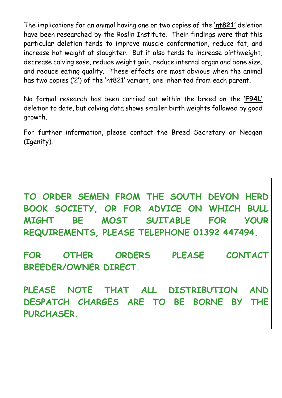The implications for an animal having one or two copies of the **'nt821'** deletion have been researched by the Roslin Institute. Their findings were that this particular deletion tends to improve muscle conformation, reduce fat, and increase hot weight at slaughter. But it also tends to increase birthweight, decrease calving ease, reduce weight gain, reduce internal organ and bone size, and reduce eating quality. These effects are most obvious when the animal has two copies ('2') of the 'nt821' variant, one inherited from each parent.

No formal research has been carried out within the breed on the **'F94L'** deletion to date, but calving data shows smaller birth weights followed by good growth.

For further information, please contact the Breed Secretary or Neogen (Igenity).

**TO ORDER SEMEN FROM THE SOUTH DEVON HERD BOOK SOCIETY, OR FOR ADVICE ON WHICH BULL MIGHT BE MOST SUITABLE FOR YOUR REQUIREMENTS, PLEASE TELEPHONE 01392 447494.**

**FOR OTHER ORDERS PLEASE CONTACT BREEDER/OWNER DIRECT.**

**PLEASE NOTE THAT ALL DISTRIBUTION AND DESPATCH CHARGES ARE TO BE BORNE BY THE PURCHASER.**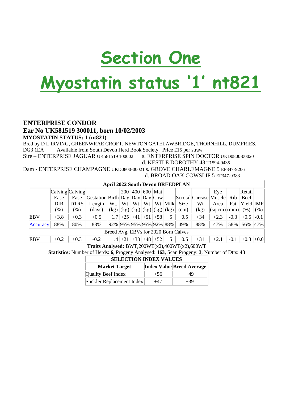# **Section One**

# **Myostatin status '1' nt821**

#### **ENTERPRISE CONDOR Ear No UK581519 300011, born 10/02/2003 MYOSTATIN STATUS: 1 (nt821)**

Bred by D L IRVING, GREENWRAE CROFT, NEWTON GATELAWBRIDGE, THORNHILL, DUMFRIES, DG3 1EA Available from South Devon Herd Book Society. Price £15 per straw

Sire – ENTERPRISE JAGUAR UK581519 100002 s. ENTERPRISE SPIN DOCTOR UKD0800-00020

d. KESTLE DOROTHY 43 T1594-9435

Dam - ENTERPRISE CHAMPAGNE UKD0800-00021 s. GROVE CHARLEMAGNE 5 EF347-9206 d. BROAD OAK COWSLIP 5 EF347-9383

| <b>April 2022 South Devon BREEDPLAN</b> |                 |             |                                 |                                            |            |     |    |           |         |        |                            |                                      |        |            |          |
|-----------------------------------------|-----------------|-------------|---------------------------------|--------------------------------------------|------------|-----|----|-----------|---------|--------|----------------------------|--------------------------------------|--------|------------|----------|
|                                         | Calving Calving |             |                                 |                                            | <b>200</b> | 400 |    | $600$ Mat |         |        |                            | Eye                                  |        | Retail     |          |
|                                         | Ease            | Ease        | Gestation Birth Day Day Day Cow |                                            |            |     |    |           |         |        | Scrotal Carcase Muscle Rib |                                      |        | Beef       |          |
|                                         | DIR             | <b>DTRS</b> | Length                          | Wt.                                        | Wt         | Wt  | Wt |           | Wt Milk | Size   | Wt                         | Area                                 | Fat    | Yield [MF] |          |
|                                         | $(\%)$          | $(\% )$     | (days)                          | $(x g)$ $(kg)$ $(kg)$ $(kg)$ $(kg)$ $(kg)$ |            |     |    |           |         | (cm)   | (kg)                       | $\vert$ (sq cm) $\vert$ (mm) $\vert$ |        | (% )       | (% )     |
| EBV                                     | $+3.8$          | $+0.3$      | $+0.5$                          | $+1.7$ +25 +41 +51 +58                     |            |     |    |           | $+5$    | $+0.5$ | $+34$                      | $+2.3$                               | $-0.3$ | $+0.5$     | $-0.1$   |
| Accuracy                                | 88%             | 80%         | 83%                             | 92%  95%  95%  95%  92%  88%               |            |     |    |           |         | 49%    | 88%                        | 47%                                  | 58%    | 56%        | $ 47\% $ |
| Breed Avg. EBVs for 2020 Born Calves    |                 |             |                                 |                                            |            |     |    |           |         |        |                            |                                      |        |            |          |
| EBV                                     | $+0.2$          | $+0.3$      | $-0.2$                          | $+1.4$ +21 +38 +48 +52                     |            |     |    |           | $+5$    | $+0.5$ | $+31$                      | $+2.1$                               | $-0.1$ | $+0.3$     | $+0.0$   |

**Traits Analysed:** BWT,200WT(x2),400WT(x2),600WT

**Statistics:** Number of Herds: **6**, Progeny Analysed: **163**, Scan Progeny: **3**, Number of Dtrs: **43**

| <b>SELECTION INDEX VALUES</b> |       |                                  |  |  |  |  |  |  |  |  |  |
|-------------------------------|-------|----------------------------------|--|--|--|--|--|--|--|--|--|
| <b>Market Target</b>          |       | <b>Index Value Breed Average</b> |  |  |  |  |  |  |  |  |  |
| Quality Beef Index            | $+56$ | $+49$                            |  |  |  |  |  |  |  |  |  |
| Suckler Replacement Index     | $+47$ | $+39$                            |  |  |  |  |  |  |  |  |  |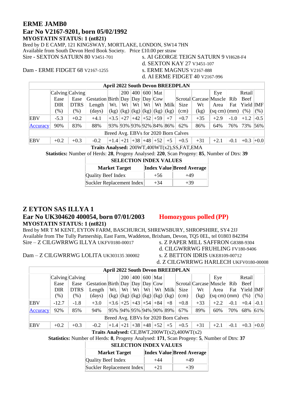#### **ERME JAMB0 Ear No V2167-9201, born 05/02/1992 MYOSTATIN STATUS: 1 (nt821)**

Bred by D E CAMP, 121 KINGSWAY, MORTLAKE, LONDON, SW14 7HN

Available from South Devon Herd Book Society. Price £10.00 per straw

Sire - SEXTON SATURN 80 V3451-701 s. AI GEORGE TEIGN SATURN 9 VH628-F4

d. SEXTON KAY 27 V3451-107

Dam - ERME FIDGET 68 V2167-1255 s. ERME MAGNUS V2167-888

#### d. AI ERME FIDGET 40 V2167-996

|                                      | <b>April 2022 South Devon BREEDPLAN</b>                                                                     |               |                                                                                                               |                                            |    |    |  |                    |      |        |       |                            |        |           |          |
|--------------------------------------|-------------------------------------------------------------------------------------------------------------|---------------|---------------------------------------------------------------------------------------------------------------|--------------------------------------------|----|----|--|--------------------|------|--------|-------|----------------------------|--------|-----------|----------|
|                                      | $400 \mid$<br>  600   Mat  <br>Retail<br>$\lfloor$ Calving $\lfloor$ Calving $\lfloor$<br><b>200</b><br>Eye |               |                                                                                                               |                                            |    |    |  |                    |      |        |       |                            |        |           |          |
|                                      | Ease                                                                                                        | Ease          | $\left  \text{Gestation} \right  \text{Birth} \left  \text{Day} \right  \text{Day} \left  \text{Cow} \right $ |                                            |    |    |  |                    |      |        |       | Scrotal Carcase Muscle Rib |        | Beef      |          |
|                                      | <b>DIR</b>                                                                                                  | <b>DTRS</b>   | Length                                                                                                        | Wt.                                        | Wt | Wt |  | $Wt$   $Wt$   Milk |      | Size   | Wt    | Area                       | Fat    | Yield IMF |          |
|                                      | (% )                                                                                                        | $\frac{9}{6}$ | $\frac{days}{9}$                                                                                              | $(x g)$ $(kg)$ $(kg)$ $(kg)$ $(kg)$ $(kg)$ |    |    |  |                    |      | (cm)   | (kg)  | (sq cm)(mm)                |        | (% )      | (% )     |
| EBV                                  | $-5.3$                                                                                                      | $+0.2$        | $+4.1$                                                                                                        | $+3.5$ +27 +42 +52 +59                     |    |    |  |                    | $+7$ | $+0.7$ | $+35$ | $+2.9$                     | $-1.0$ | $+1.2$    | $-0.5$   |
| Accuracy                             | 90%                                                                                                         | 83%           | 88%                                                                                                           | 93% 93% 93% 92% 84% 86%                    |    |    |  |                    |      | 62%    | 86%   | 64%                        | 76%    | 73% 56%   |          |
| Breed Avg. EBVs for 2020 Born Calves |                                                                                                             |               |                                                                                                               |                                            |    |    |  |                    |      |        |       |                            |        |           |          |
| EBV                                  | $+0.2$                                                                                                      | $+0.3$        | $-0.2$                                                                                                        | $+1.4$ +21 +38 +48 +52                     |    |    |  |                    | $+5$ | $+0.5$ | $+31$ | $+2.1$                     | $-0.1$ | $+0.3$    | $ +0.0 $ |

**Traits Analysed:** 200WT,400WT(x2),SS,FAT,EMA

**Statistics:** Number of Herds: **28**, Progeny Analysed: **220**, Scan Progeny: **85**, Number of Dtrs: **39**

| <b>SELECTION INDEX VALUES</b> |       |                                  |  |  |  |  |  |  |  |  |  |
|-------------------------------|-------|----------------------------------|--|--|--|--|--|--|--|--|--|
| <b>Market Target</b>          |       | <b>Index Value Breed Average</b> |  |  |  |  |  |  |  |  |  |
| Quality Beef Index            | $+56$ | $+49$                            |  |  |  |  |  |  |  |  |  |
| Suckler Replacement Index     | $+34$ | $+39$                            |  |  |  |  |  |  |  |  |  |

#### **Z EYTON SAS ILLYA 1 Ear No UK304620 400054, born 07/01/2003 Homozygous polled (PP) MYOSTATIN STATUS: 1 (nt821)**

Bred by MR T M KENT, EYTON FARM, BASCHURCH, SHREWSBURY, SHROPSHIRE, SY4 2JJ Available from The Tully Partnership, East Farm, Waddeton, Brixham, Devon, TQ5 0EL, tel 01803 842394 Sire – Z CILGWRRWG ILLYA UKFV0180-00017 s. Z PAPER MILL SAFFRON G8388-9304

d. CILGWRRWG FRUHLING FV180-9406

Dam – Z CILGWRRWG LOLITA UK303135 300002 s. Z BETTON IDRIS UKE8109-00712

d. Z CILGWRRWG HARLECH UKFV0180-00008

| <b>April 2022 South Devon BREEDPLAN</b>       |                                                                                                                                    |             |                                   |                        |    |    |    |  |         |        |       |                            |        |            |        |
|-----------------------------------------------|------------------------------------------------------------------------------------------------------------------------------------|-------------|-----------------------------------|------------------------|----|----|----|--|---------|--------|-------|----------------------------|--------|------------|--------|
|                                               | $ 400 $ 600   Mat  <br>Retail<br>Calving Calving<br>200<br>Eye                                                                     |             |                                   |                        |    |    |    |  |         |        |       |                            |        |            |        |
|                                               | Ease                                                                                                                               | Ease        | Gestation Birth Day Day Day $Cow$ |                        |    |    |    |  |         |        |       | Scrotal Carcase Muscle Rib |        | Beef       |        |
|                                               | DIR                                                                                                                                | <b>DTRS</b> | Length                            | Wt.                    | Wt | Wt | Wt |  | Wt Milk | Size   | Wt    | Area                       | Fat    | Yield  IMF |        |
|                                               | (% )<br>$(\% )$<br>$(\%)$<br>$(kg)$ $(kg)$ $(kg)$ $(kg)$ $(kg)$ $(kg)$<br>(kg)<br>$ (sq cm) (mm) $ (%)<br>$\frac{days}{9}$<br>(cm) |             |                                   |                        |    |    |    |  |         |        |       |                            |        |            |        |
| <b>EBV</b>                                    | $-12.7$                                                                                                                            | $-1.8$      | $+3.0$                            | $+3.6$ +25 +43 +54 +84 |    |    |    |  | $+8$    | $+0.8$ | $+33$ | $+2.2$                     | $-0.1$ | $+0.4$     | $-0.1$ |
| Accuracy                                      | 85%<br>95% 94% 95% 94% 90% 89%<br>89%<br>70%<br>68% 61%<br>92%<br>94%<br>67%<br>60%                                                |             |                                   |                        |    |    |    |  |         |        |       |                            |        |            |        |
| Breed Avg. EBVs for 2020 Born Calves          |                                                                                                                                    |             |                                   |                        |    |    |    |  |         |        |       |                            |        |            |        |
| <b>EBV</b>                                    | $+1.4$ +21 +38 +48 +52  <br>$+5$<br>$+0.0$<br>$+0.3$<br>$+31$<br>$+0.3$<br>$+0.2$<br>$+2.1$<br>$-0.1$<br>$-0.2$<br>$+0.5$          |             |                                   |                        |    |    |    |  |         |        |       |                            |        |            |        |
| Traits Analysed: $CE,BWT,200WT(x2),400WT(x2)$ |                                                                                                                                    |             |                                   |                        |    |    |    |  |         |        |       |                            |        |            |        |

**Statistics:** Number of Herds: **8**, Progeny Analysed: **171**, Scan Progeny: **5**, Number of Dtrs: **37**

| <b>SELECTION INDEX VALUES</b> |        |                                  |  |  |  |  |  |  |  |  |  |
|-------------------------------|--------|----------------------------------|--|--|--|--|--|--|--|--|--|
| <b>Market Target</b>          |        | <b>Index Value Breed Average</b> |  |  |  |  |  |  |  |  |  |
| Quality Beef Index            | $+44$  | $+49$                            |  |  |  |  |  |  |  |  |  |
| Suckler Replacement Index     | $+2.1$ | $+39$                            |  |  |  |  |  |  |  |  |  |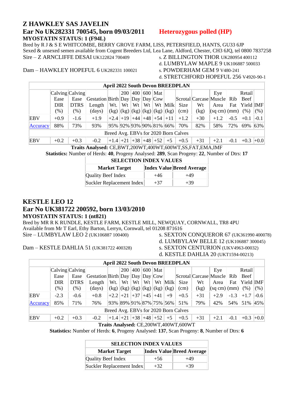#### **Z HAWKLEY SAS JAVELIN Ear No UK282331 700545, born 09/03/2011 Heterozygous polled (HP) MYOSTATIN STATUS: 1 (F94L)**

Bred by R J & S E WHITCOMBE, BERRY GROVE FARM, LISS, PETERSFIELD, HANTS, GU33 6JP Sexed & unsexed semen available from Cogent Breeders Ltd, Lea Lane, Aldford, Chester, CH3 6JQ, tel 0800 7837258 Sire – Z ARNCLIFFE DESAI UK122824 700409 s. Z BILLINGTON THOR UK280954 400112

Dam – HAWKLEY HOPEFUL 6 UK282331 100021

d. LUMBYLAW MAPLE 9 UK106887 500033<br>s. POWDERHAM GEM 9 V480-241

d. STRETCHFORD HOPEFUL 256 V4920-90-1

|            | <b>April 2022 South Devon BREEDPLAN</b> |                                         |                                   |                                 |            |     |    |                                           |         |        |                            |                                      |        |           |        |
|------------|-----------------------------------------|-----------------------------------------|-----------------------------------|---------------------------------|------------|-----|----|-------------------------------------------|---------|--------|----------------------------|--------------------------------------|--------|-----------|--------|
|            | Calving Calving                         |                                         |                                   |                                 | <b>200</b> | 400 |    | $600$ Mat                                 |         |        |                            | Eye                                  |        | Retail    |        |
|            | Ease                                    | Ease                                    | Gestation Birth Day Day Day $Cow$ |                                 |            |     |    |                                           |         |        | Scrotal Carcase Muscle Rib |                                      |        | Beef      |        |
|            | <b>DIR</b>                              | <b>DTRS</b>                             | Length                            | Wt.                             | Wt         | Wt  | Wt |                                           | Wt Milk | Size   | Wt                         | Area                                 | Fat    | Yield IMF |        |
|            | $(\%)$                                  | $\gamma$ <sup><math>\gamma</math></sup> | (days)                            |                                 |            |     |    | $(kg)$ $(kg)$ $(kg)$ $(kg)$ $(kg)$ $(kg)$ |         | (cm)   | (kg)                       | $\vert$ (sq cm) $\vert$ (mm) $\vert$ |        | (% )      | (% )   |
| EBV        | $+0.9$                                  | $-1.6$                                  | $+1.9$                            | $+2.4$ + 19 + 44 + 48 + 54 + 11 |            |     |    |                                           |         | $+1.2$ | $+30$                      | $+1.2$                               | $-0.5$ | $+0.1$    | $-0.1$ |
| Accuracy   | 88%                                     | 73%                                     | 93%                               | 95%  92%  93%  90%  81%  66%    |            |     |    |                                           |         | 70%    | 82%                        | 58%                                  | 72%    | 69% 63%   |        |
|            | Breed Avg. EBVs for 2020 Born Calves    |                                         |                                   |                                 |            |     |    |                                           |         |        |                            |                                      |        |           |        |
| <b>EBV</b> | $+0.2$                                  | $+0.3$                                  | $-0.2$                            | $+1.4$ +21 +38 +48 +52          |            |     |    |                                           | $+5$    | $+0.5$ | $+31$                      | $+2.1$                               | $-0.1$ | $+0.3$    | $+0.0$ |

**Traits Analysed:** CE,BWT,200WT,400WT,600WT,SS,FAT,EMA,IMF

**Statistics:** Number of Herds: **40**, Progeny Analysed: **289**, Scan Progeny: **22**, Number of Dtrs: **17**

| <b>SELECTION INDEX VALUES</b> |       |                                  |  |  |  |  |  |  |  |  |  |
|-------------------------------|-------|----------------------------------|--|--|--|--|--|--|--|--|--|
| <b>Market Target</b>          |       | <b>Index Value Breed Average</b> |  |  |  |  |  |  |  |  |  |
| <b>Quality Beef Index</b>     | $+46$ | $+49$                            |  |  |  |  |  |  |  |  |  |
| Suckler Replacement Index     | $+37$ | $+39$                            |  |  |  |  |  |  |  |  |  |

### **KESTLE LEO 12**

#### **Ear No UK381722 200592, born 13/03/2010 MYOSTATIN STATUS: 1 (nt821)**

Bred by MR R K RUNDLE, KESTLE FARM, KESTLE MILL, NEWQUAY, CORNWALL, TR8 4PU Available from Mr T Earl, Ethy Barton, Lerryn, Cornwall, tel 01208 871616 Sire – LUMBYLAW LEO 2 (UK106887 100400) s. SEXTON CONQUEROR 67 (UK361990 400078)

Dam – KESTLE DAHLIA 51 (UK381722 400328) s. SEXTON CENTURION (UKV4963-00032)

d. LUMBYLAW BELLE 12 (UK106887 300045)

d. KESTLE DAHLIA 20 (UKT1594-00213)

|                                      | <b>April 2022 South Devon BREEDPLAN</b>       |             |                                   |                                           |     |    |    |                 |         |        |                            |             |        |               |        |
|--------------------------------------|-----------------------------------------------|-------------|-----------------------------------|-------------------------------------------|-----|----|----|-----------------|---------|--------|----------------------------|-------------|--------|---------------|--------|
|                                      | $\lfloor$ Calving $\lfloor$ Calving $\lfloor$ |             |                                   |                                           | 200 |    |    | $ 400 600 $ Mat |         |        |                            | Eye         |        | Retail        |        |
|                                      | Ease                                          | Ease        | Gestation Birth Day Day Day $Cow$ |                                           |     |    |    |                 |         |        | Scrotal Carcase Muscle Rib |             |        | Beef          |        |
|                                      | DIR                                           | <b>DTRS</b> | Length                            | Wt.                                       | Wt  | Wt | Wt |                 | Wt Milk | Size   | Wt                         | Area        | Fat    | Yield IMF     |        |
|                                      | $(\%)$                                        | $(\% )$     | (days)                            | $(kg)$ $(kg)$ $(kg)$ $(kg)$ $(kg)$ $(kg)$ |     |    |    |                 |         | (cm)   | (kg)                       | (sq cm)(mm) |        | (% )          | (% )   |
| EBV                                  | $-2.3$                                        | $-0.6$      | $+0.8$                            | $+2.2$ +21 +37 +45 +41                    |     |    |    |                 | $+9$    | $+0.5$ | $+31$                      | $+2.9$      | $-1.3$ | $+1.7$        | $-0.6$ |
| Accuracy                             | 85%                                           | 71%         | 76%                               | 93%  89%  91%  87%  75%  56%              |     |    |    |                 |         | 51%    | 79%                        | 42%         | 54%    | 51% 45%       |        |
| Breed Avg. EBVs for 2020 Born Calves |                                               |             |                                   |                                           |     |    |    |                 |         |        |                            |             |        |               |        |
| EBV                                  | $+0.2$                                        | $+0.3$      | $-0.2$                            | $+1.4$ +21 +38 +48 +52                    |     |    |    |                 | $+5$    | $+0.5$ | $+31$                      | $+2.1$      | $-0.1$ | $+0.3$ $+0.0$ |        |

**Traits Analysed:** CE,200WT,400WT,600WT

**Statistics:** Number of Herds: **6**, Progeny Analysed: **137**, Scan Progeny: **8**, Number of Dtrs: **6**

| <b>SELECTION INDEX VALUES</b> |        |                                  |  |  |  |  |  |  |  |  |  |
|-------------------------------|--------|----------------------------------|--|--|--|--|--|--|--|--|--|
| <b>Market Target</b>          |        | <b>Index Value Breed Average</b> |  |  |  |  |  |  |  |  |  |
| Quality Beef Index            | $+56$  | +49                              |  |  |  |  |  |  |  |  |  |
| Suckler Replacement Index     | $+32.$ | $+39$                            |  |  |  |  |  |  |  |  |  |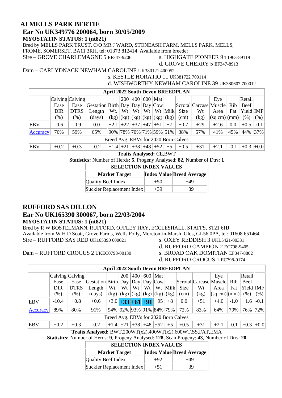#### **AI MELLS PARK BERTIE Ear No UK349776 200064, born 30/05/2009 MYOSTATIN STATUS: 1 (nt821)**

Bred by MELLS PARK TRUST, C/O MR J WARD, STONEASH FARM, MELLS PARK, MELLS, FROME, SOMERSET, BA11 3RH, tel: 01373 812414 Available from breeder

Sire – GROVE CHARLEMAGNE 5 EF347-9206 s. HIGHGATE PIONEER 9 T1963-89119

d. GROVE CHERRY 5 EF347-8913

#### Dam – CARLYDNACK NEWHAM CAROLINE UK380121 400052 s. KESTLE HORATIO 11 UK381722 700114

#### d. WISHWORTHY NEWHAM CAROLINE 39 UK380607 700012

|            | <b>April 2022 South Devon BREEDPLAN</b> |             |                                   |                              |     |                                           |    |           |         |                                      |       |                            |        |           |        |
|------------|-----------------------------------------|-------------|-----------------------------------|------------------------------|-----|-------------------------------------------|----|-----------|---------|--------------------------------------|-------|----------------------------|--------|-----------|--------|
|            | Calving Calving                         |             |                                   |                              | 200 | 400                                       |    | 600   Mat |         |                                      |       | Eye                        |        | Retail    |        |
|            | Ease                                    | Ease        | Gestation Birth Day Day Day $Cow$ |                              |     |                                           |    |           |         |                                      |       | Scrotal Carcase Muscle Rib |        | Beef      |        |
|            | <b>DIR</b>                              | <b>DTRS</b> | Length                            | Wt.                          | Wt  | Wt                                        | Wt |           | Wt Milk | Size                                 | Wt    | Area                       | Fat    | Yield IMF |        |
|            | $(\%)$                                  | $(\%)$      | (days)                            |                              |     | $(kg)$ $(kg)$ $(kg)$ $(kg)$ $(kg)$ $(kg)$ |    |           |         | (cm)                                 | (kg)  | (sq cm) (mm)               |        | (% )      | (% )   |
| <b>EBV</b> | $-0.6$                                  | $-0.9$      | 0.0                               |                              |     | $+2.1$ +22 +37 +47 +51                    |    |           | $+7$    | $+0.7$                               | $+29$ | $+2.6$                     | 0.0    | $+0.5$    | $-0.1$ |
| Accuracy   | 76%                                     | 59%         | 65%                               | 90%  78%  70%  71%  59%  51% |     |                                           |    |           |         | 38%                                  | 57%   | 41%                        | 45%    | 44%       | $37\%$ |
|            |                                         |             |                                   |                              |     |                                           |    |           |         | Breed Avg. EBVs for 2020 Born Calves |       |                            |        |           |        |
| <b>EBV</b> | $+0.2$                                  | $+0.3$      | $-0.2$                            | $+1.4$ +21                   |     | $+38$                                     |    | $+48$ +52 | $+5$    | $+0.5$                               | $+31$ | $+2.1$                     | $-0.1$ | $+0.3$    | $+0.0$ |

**Traits Analysed:** CE,BWT

**Statistics:** Number of Herds: **5**, Progeny Analysed: **82**, Number of Dtrs: **1**

### **SELECTION INDEX VALUES**

| <b>Market Target</b>      |       | <b>Index Value Breed Average</b> |
|---------------------------|-------|----------------------------------|
| Quality Beef Index        | $+50$ | $+49$                            |
| Suckler Replacement Index | $+39$ | $+39$                            |

#### **RUFFORD SAS DILLON**

#### **Ear No UK165390 300067, born 22/03/2004 MYOSTATIN STATUS: 1 (nt821)**

Bred by R W BOSTELMANN, RUFFORD, OFFLEY HAY, ECCLESHALL, STAFFS, ST21 6HJ Available from W H D Scott, Grove Farms, Wells Folly, Moreton-in-Marsh, Glos, GL56 0PA, tel: 01608 651464 Sire – RUFFORD SAS RED UK165390 600021 s. OXEY REDDISH 3 UKL5421-00331

d. RUFFORD CAMPION 2 EC798-9405

Dam – RUFFORD CROCUS 2 UKEC0798-00130 s. BROAD OAK DOMITIAN EF347-8802

- 
- d. RUFFORD CROCUS 1 EC798-9174

|            | <b>April 2022 South Devon BREEDPLAN</b>                                                                                      |             |                                                                                        |                         |     |     |     |                                  |         |      |                            |                                 |        |            |        |
|------------|------------------------------------------------------------------------------------------------------------------------------|-------------|----------------------------------------------------------------------------------------|-------------------------|-----|-----|-----|----------------------------------|---------|------|----------------------------|---------------------------------|--------|------------|--------|
|            | Calving Calving                                                                                                              |             |                                                                                        |                         | 200 | 400 | 600 | Mat                              |         |      |                            | Eye                             |        | Retail     |        |
|            | Ease                                                                                                                         | Ease        | $\textsf{Gestation}$ Birth $\textsf{Day}$ $\textsf{Day}$ $\textsf{Day}$ $\textsf{Cow}$ |                         |     |     |     |                                  |         |      | Scrotal Carcase Muscle Rib |                                 |        | Beef       |        |
|            | DIR                                                                                                                          | <b>DTRS</b> | Length                                                                                 | Wt.                     | Wt  | Wt  | Wt  |                                  | Wt Milk | Size | Wt                         | Area                            | Fat    | Yield [MF] |        |
|            | $(\%)$                                                                                                                       | $(\%)$      | (days)                                                                                 | (kg)                    |     |     |     | (kg)   (kg)   (kg)   (kg)   (kg) |         | (cm) | (kg)                       | $ \text{(sq cm)}  \text{(mm)} $ |        | (% )       | (% )   |
| EBV        | $-10.4$                                                                                                                      | $+0.8$      | $+0.6$                                                                                 | $+3.0 +33 +61 +91 +95$  |     |     |     |                                  | $+8$    | 0.0  | $+51$                      | $+4.0$                          | $-1.0$ | $+1.6$     | $-0.1$ |
| Accuracy   | 89%                                                                                                                          | 80%         | 91%                                                                                    | 94% 92% 93% 91% 84% 79% |     |     |     |                                  |         | 72%  | 83%                        | 64%                             | 79%    | 76%        | 72%    |
|            | Breed Avg. EBVs for 2020 Born Calves                                                                                         |             |                                                                                        |                         |     |     |     |                                  |         |      |                            |                                 |        |            |        |
| <b>EBV</b> | $+48$<br>$+52$<br>$+1.4$ +21 +38<br>$+5$<br>$+0.3$<br>$-0.1$<br>$+0.2$<br>$-0.2$<br>$+0.5$<br>$+31$<br>$+2.1$<br>$+0.3$ +0.0 |             |                                                                                        |                         |     |     |     |                                  |         |      |                            |                                 |        |            |        |
|            | Traits Analysed: $BWT,200WT(x2),400WT(x2),600WT,SS, FAT,EMA$                                                                 |             |                                                                                        |                         |     |     |     |                                  |         |      |                            |                                 |        |            |        |

**Statistics:** Number of Herds: **9**, Progeny Analysed: **128**, Scan Progeny: **43**, Number of Dtrs: **20**

| <b>SELECTION INDEX VALUES</b>                            |        |       |  |  |  |  |  |  |  |  |  |
|----------------------------------------------------------|--------|-------|--|--|--|--|--|--|--|--|--|
| <b>Index Value Breed Average</b><br><b>Market Target</b> |        |       |  |  |  |  |  |  |  |  |  |
| Quality Beef Index                                       | $+92.$ | $+49$ |  |  |  |  |  |  |  |  |  |
| Suckler Replacement Index                                | $+51$  | $+39$ |  |  |  |  |  |  |  |  |  |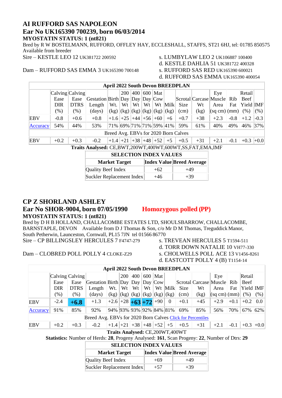#### **AI RUFFORD SAS NAPOLEON Ear No UK165390 700239, born 06/03/2014 MYOSTATIN STATUS: 1 (nt821)**

Bred by R W BOSTELMANN, RUFFORD, OFFLEY HAY, ECCLESHALL, STAFFS, ST21 6HJ, tel: 01785 850575 Available from breeder Sire – KESTLE LEO 12 UK381722 200592 s. LUMBYLAW LEO 2 UK106887 100400

d. KESTLE DAHLIA 51 UK381722 400328

d. RUFFORD SAS EMMA UK165390 400054

## Dam - RUFFORD SAS EMMA 3 UK165390 700148

| <b>April 2022 South Devon BREEDPLAN</b>                                                                                                          |                 |             |                                 |                         |     |    |    |                 |         |                                      |                        |        |        |           |        |
|--------------------------------------------------------------------------------------------------------------------------------------------------|-----------------|-------------|---------------------------------|-------------------------|-----|----|----|-----------------|---------|--------------------------------------|------------------------|--------|--------|-----------|--------|
|                                                                                                                                                  | Calving Calving |             |                                 |                         | 200 |    |    | 400   600   Mat |         |                                      |                        | Eye    |        | Retail    |        |
|                                                                                                                                                  | Ease            | Ease        | Gestation Birth Day Day Day Cow |                         |     |    |    |                 |         |                                      | Scrotal Carcase Muscle |        | Rib    | Beef      |        |
|                                                                                                                                                  | <b>DIR</b>      | <b>DTRS</b> | Length                          | Wt.                     | Wt  | Wt | Wt |                 | Wt Milk | <b>Size</b>                          | Wt                     | Area   | Fat    | Yield IMF |        |
| $(\% )$<br>$(kg)$ $(kg)$ $(kg)$ $(kg)$ $(kg)$ $(kg)$<br>(kg)<br>(% )<br>$\frac{days}{9}$<br>(% )<br>$\vert$ (sq cm) $\vert$ (mm) $\vert$<br>(cm) |                 |             |                                 |                         |     |    |    |                 |         |                                      |                        |        | (% )   |           |        |
| <b>EBV</b>                                                                                                                                       | $-0.8$          | $+0.6$      | $+0.8$                          | $+1.6$ +25 +44 +56 +60  |     |    |    |                 | $+6$    | $+0.7$                               | $+38$                  | $+2.3$ | $-0.8$ | $+1.2$    | $-0.3$ |
| Accuracy                                                                                                                                         | 54%             | 44%         | 53%                             | 71% 69% 71% 71% 59% 41% |     |    |    |                 |         | 59%                                  | 61%                    | 40%    | 49%    | 46%       | 37%    |
|                                                                                                                                                  |                 |             |                                 |                         |     |    |    |                 |         | Breed Avg. EBVs for 2020 Born Calves |                        |        |        |           |        |
| $+1.4$ +21 +38 +48 +52 +5<br><b>EBV</b><br>$+0.2$<br>$+0.3$<br>$+0.5$<br>$+31$<br>$+0.3$<br>$-0.2$<br>$+2.1$<br>$-0.1$                           |                 |             |                                 |                         |     |    |    |                 |         |                                      |                        |        | $+0.0$ |           |        |
| Traits Analysed: CE,BWT,200WT,400WT,600WT,SS,FAT,EMA,IMF                                                                                         |                 |             |                                 |                         |     |    |    |                 |         |                                      |                        |        |        |           |        |
| <b>SELECTION INDEX VALUES</b>                                                                                                                    |                 |             |                                 |                         |     |    |    |                 |         |                                      |                        |        |        |           |        |

| <b>SELECTION INDEX VALUES</b> |       |                                  |  |  |  |  |  |  |  |  |  |
|-------------------------------|-------|----------------------------------|--|--|--|--|--|--|--|--|--|
| <b>Market Target</b>          |       | <b>Index Value Breed Average</b> |  |  |  |  |  |  |  |  |  |
| <b>Quality Beef Index</b>     | $+62$ | $+49$                            |  |  |  |  |  |  |  |  |  |
| Suckler Replacement Index     | $+46$ | $+39$                            |  |  |  |  |  |  |  |  |  |

#### **CP Z SHORLAND ASHLEY**

#### **Ear No SHOR-9004, born 07/05/1990 Homozygous polled (PP) MYOSTATIN STATUS: 1 (nt821)**

Bred by D H B HOLLAND, CHALLACOMBE ESTATES LTD, SHOULSBARROW, CHALLACOMBE, BARNSTAPLE, DEVON Available from D J Thomas & Son, c/o Mr D M Thomas, Treguddick Manor, South Petherwin, Launceston, Cornwall, PL15 7JN tel 01566 86770 Sire – CP BILLINGSLEY HERCULES 7 F4747-279 s. TREVEAN HERCULES 5 T1594-511

Dam – CLOBRED POLL POLLY 4 CLOKE-Z29 s. CHOLWELLS POLL ACE 13 V1456-8261

- d. TORR DOWN NATALIE 10 VH77-330
- 
- d. EASTCOTT POLLY 4 (B) T1154-14

|                                                            | <b>April 2022 South Devon BREEDPLAN</b>                                                                                                         |             |                                                                                                             |                                 |            |                   |    |           |          |        |       |                        |            |           |          |
|------------------------------------------------------------|-------------------------------------------------------------------------------------------------------------------------------------------------|-------------|-------------------------------------------------------------------------------------------------------------|---------------------------------|------------|-------------------|----|-----------|----------|--------|-------|------------------------|------------|-----------|----------|
|                                                            | Calving Calving                                                                                                                                 |             |                                                                                                             |                                 | <b>200</b> | $\vert 400 \vert$ |    | $600$ Mat |          |        |       | Eye                    |            | Retail    |          |
|                                                            | Ease                                                                                                                                            | Ease        | $\left \frac{3}{2}$ Gestation Birth $\left \frac{2}{2}$ Day $\left \frac{2}{2}$ Day $\left \frac{2}{2}$ Cow |                                 |            |                   |    |           |          |        |       | Scrotal Carcase Muscle | <b>Rib</b> | Beef      |          |
|                                                            | DIR                                                                                                                                             | <b>DTRS</b> | Length                                                                                                      | Wt.                             | Wt         | Wt                | Wt |           | Wt Milk  | Size   | Wt    | Area                   | Fat        | Yield IMF |          |
|                                                            | $(\% )$<br>$\vert$ (sq cm) $\vert$ (mm) $\vert$<br>(% )<br>$(kg)$ $(kg)$ $(kg)$ $(kg)$ $(kg)$ $(kg)$<br>(kg)<br>$(\%)$<br>(days)<br>(%)<br>(cm) |             |                                                                                                             |                                 |            |                   |    |           |          |        |       |                        |            |           |          |
| EBV                                                        | $-2.4$                                                                                                                                          | $+6.8$      | $+1.3$                                                                                                      | $+2.6 +28 +63 +72 +90 $         |            |                   |    |           | $\theta$ | $+0.1$ | $+45$ | $+2.9$                 | $+0.1$     | $+0.2$    | 0.0      |
| Accuracy                                                   | 91%                                                                                                                                             | 85%         | 92%                                                                                                         | 94% 93% 93% 92% 84% 81%         |            |                   |    |           |          | 69%    | 85%   | 56%                    | 70%        | 67%       | 62%      |
| Breed Avg. EBVs for 2020 Born Calves Click for Percentiles |                                                                                                                                                 |             |                                                                                                             |                                 |            |                   |    |           |          |        |       |                        |            |           |          |
| <b>EBV</b>                                                 | $+0.2$                                                                                                                                          | $+0.3$      | $-0.2$                                                                                                      | $+1.4$ +21 +38 +48 +52          |            |                   |    |           | $+5$     | $+0.5$ | $+31$ | $+2.1$                 | $-0.1$     | $+0.3$    | $ +0.0 $ |
|                                                            |                                                                                                                                                 |             |                                                                                                             | Traits Analysed: CE 200WT 400WT |            |                   |    |           |          |        |       |                        |            |           |          |

**Traits Analysed:** CE,200WT,400WT

**Statistics:** Number of Herds: **28**, Progeny Analysed: **161**, Scan Progeny: **22**, Number of Dtrs: **29**

| <b>Market Target</b>      |       | <b>Index Value Breed Average</b> |
|---------------------------|-------|----------------------------------|
| Quality Beef Index        | $+69$ | $+49$                            |
| Suckler Replacement Index | $+57$ | $+39$                            |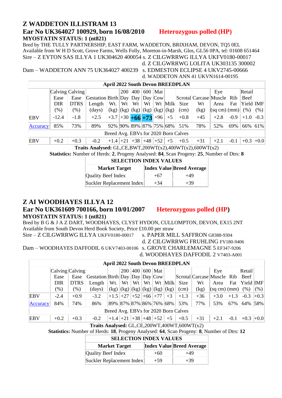#### **Z WADDETON ILLISTRAM 13 Ear No UK364027 100929, born 16/08/2010 Heterozygous polled (HP) MYOSTATIN STATUS: 1 (nt821)**

Bred by THE TULLY PARTNERSHIP, EAST FARM, WADDETON, BRIXHAM, DEVON, TQ5 0EL Available from W H D Scott, Grove Farms, Wells Folly, Moreton-in-Marsh, Glos, GL56 0PA, tel: 01608 651464 Sire – Z EYTON SAS ILLYA 1 UK304620 400054 s. Z CILGWRRWG ILLYA UKFV0180-00017

Dam – WADDETON ANN 75 UK364027 400239 s. EDMESTON ECLIPSE 4 UKV2745-00666

d. Z CILGWRRWG LOLITA UK303135 300002 d. WADDETON ANN 41 UKVN1614-00195

|            | <b>April 2022 South Devon BREEDPLAN</b> |             |                                             |                            |    |         |  |                                           |      |        |       |                            |        |           |        |
|------------|-----------------------------------------|-------------|---------------------------------------------|----------------------------|----|---------|--|-------------------------------------------|------|--------|-------|----------------------------|--------|-----------|--------|
|            | Calving Calving                         |             |                                             |                            |    | 200 400 |  | $600$ Mat                                 |      |        |       | Eye                        |        | Retail    |        |
|            | Ease                                    | Ease        | $ G$ estation Birth Day Day Day $ Day Cow $ |                            |    |         |  |                                           |      |        |       | Scrotal Carcase Muscle Rib |        | Beef      |        |
|            | <b>DIR</b>                              | <b>DTRS</b> | Length                                      | Wt.                        | Wt | Wt      |  | $Wt$   $Wt$   Milk                        |      | Size   | Wt    | Area                       | Fat    | Yield IMF |        |
|            | $(\%)$                                  | $(\%)$      | (days)                                      |                            |    |         |  | $(kg)$ $(kg)$ $(kg)$ $(kg)$ $(kg)$ $(kg)$ |      | (cm)   | (kg)  | (sq cm)(mm)                |        | (% )      | (% )   |
| <b>EBV</b> | $-12.4$                                 | $-1.8$      | $+2.5$                                      | $+3.7 + 30 + 66 + 73 + 96$ |    |         |  |                                           | $+5$ | $+0.8$ | $+45$ | $+2.8$                     | $-0.9$ | $+1.0$    | $-0.3$ |
| Accuracy   | 85%                                     | 73%         | 89%                                         | 92% 90% 89% 87% 75% 68%    |    |         |  |                                           |      | 51%    | 78%   | 52%                        | 69%    | 66% 61%   |        |
|            | Breed Avg. EBVs for 2020 Born Calves    |             |                                             |                            |    |         |  |                                           |      |        |       |                            |        |           |        |
| <b>EBV</b> | $+0.2$                                  | $+0.3$      | $-0.2$                                      | $+1.4$ +21 +38 +48 +52     |    |         |  |                                           | $+5$ | $+0.5$ | $+31$ | $+2.1$                     | $-0.1$ | $+0.3$    | $+0.0$ |

**Traits Analysed:** GL,CE,BWT,200WT(x2),400WT(x2),600WT(x2)

**Statistics:** Number of Herds: **2**, Progeny Analysed: **84**, Scan Progeny: **25**, Number of Dtrs: **8**

| <b>SELECTION INDEX VALUES</b>                            |       |       |  |  |  |  |  |  |  |  |
|----------------------------------------------------------|-------|-------|--|--|--|--|--|--|--|--|
| <b>Index Value Breed Average</b><br><b>Market Target</b> |       |       |  |  |  |  |  |  |  |  |
| Quality Beef Index                                       | $+67$ | $+49$ |  |  |  |  |  |  |  |  |
| Suckler Replacement Index                                | $+34$ | $+39$ |  |  |  |  |  |  |  |  |

### **Z AI WOODHAYES ILLYA 12**

#### **Ear No UK361609 700166, born 10/01/2007 Heterozygous polled (HP) MYOSTATIN STATUS: 1 (nt821)**

Bred by B G & J A Z DART, WOODHAYES, CLYST HYDON, CULLOMPTON, DEVON, EX15 2NT Available from South Devon Herd Book Society, Price £10.00 per straw

Sire – Z CILGWRRWG ILLYA UKFV0180-00017 s. PAPER MILL SAFFRON G8388-9304

d. Z CILGWRRWG FRUHLING FV180-9406

Dam – WOODHAYES DAFFODIL 6 UKV7403-00106 s. GROVE CHARLEMAGNE 5 EF347-9206 d. WOODHAYES DAFFODIL 2 V7403-A001

|                                      | <b>April 2022 South Devon BREEDPLAN</b> |             |                                 |                              |            |    |  |                 |                                           |        |                            |                     |        |           |        |
|--------------------------------------|-----------------------------------------|-------------|---------------------------------|------------------------------|------------|----|--|-----------------|-------------------------------------------|--------|----------------------------|---------------------|--------|-----------|--------|
|                                      | Calving Calving                         |             |                                 |                              | <b>200</b> |    |  | $ 400 600 $ Mat |                                           |        |                            | Eye                 |        | Retail    |        |
|                                      | Ease                                    | Ease        | Gestation Birth Day Day Day Cow |                              |            |    |  |                 |                                           |        | Scrotal Carcase Muscle Rib |                     |        | Beef      |        |
|                                      | <b>DIR</b>                              | <b>DTRS</b> | Length                          | Wt.                          | Wt         | Wt |  |                 | $Wt \mid Wt \mid$ Milk                    | Size   | Wt                         | Area                | Fat    | Yield IMF |        |
|                                      | $(\% )$                                 | $(\% )$     | (days)                          |                              |            |    |  |                 | $(kg)$ $(kg)$ $(kg)$ $(kg)$ $(kg)$ $(kg)$ | (cm)   | (kg)                       | $ (sq cm)(mm) $ (%) |        |           | (%)    |
| <b>EBV</b>                           | $-2.4$                                  | $+0.9$      | $-3.2$                          | $+1.5$ +27 +52 +66 +77       |            |    |  |                 | $+3$                                      | $+1.3$ | $+36$                      | $+3.0$              | $+1.3$ | $-0.3$    | $+0.3$ |
| Accuracy                             | 84%                                     | 74%         | 86%                             | 89%  87%  87%  86%  76%  68% |            |    |  |                 |                                           | 53%    | 77%                        | 53%                 | 67%    | 64% 58%   |        |
| Breed Avg. EBVs for 2020 Born Calves |                                         |             |                                 |                              |            |    |  |                 |                                           |        |                            |                     |        |           |        |
| EBV                                  | $+0.2$                                  | $+0.3$      | $-0.2$                          | $+1.4$ +21 +38 +48 +52       |            |    |  |                 | $+5$                                      | $+0.5$ | $+31$                      | $+2.1$              | $-0.1$ | $+0.3$    | $+0.0$ |

**Traits Analysed:** GL,CE,200WT,400WT,600WT(x2)

**Statistics:** Number of Herds: **18**, Progeny Analysed: **64**, Scan Progeny: **8**, Number of Dtrs: **12**

| <b>Market Target</b>      |       | <b>Index Value Breed Average</b> |
|---------------------------|-------|----------------------------------|
| Quality Beef Index        | $+60$ | $+49$                            |
| Suckler Replacement Index | $+59$ | $+39$                            |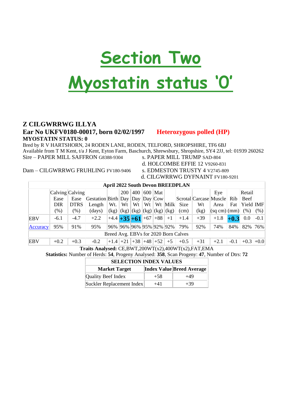# **Section Two**

# **Myostatin status '0'**

#### **Z CILGWRRWG ILLYA Ear No UKFV0180-00017, born 02/02/1997 Heterozygous polled (HP) MYOSTATIN STATUS: 0**

Bred by R V HARTSHORN, 24 RODEN LANE, RODEN, TELFORD, SHROPSHIRE, TF6 6BJ Available from T M Kent, t/a J Kent, Eyton Farm, Baschurch, Shrewsbury, Shropshire, SY4 2JJ, tel: 01939 260262 Sire – PAPER MILL SAFFRON G8388-9304 s. PAPER MILL TRUMP SAD-804

d. HOLCOMBE EFFIE 12 V9260-831

d. CILGWRRWG DYFNAINT FV180-9201

|                                      | <b>April 2022 South Devon BREEDPLAN</b> |             |                                                                                             |                            |            |       |     |                                  |         |        |                            |                                    |        |             |        |
|--------------------------------------|-----------------------------------------|-------------|---------------------------------------------------------------------------------------------|----------------------------|------------|-------|-----|----------------------------------|---------|--------|----------------------------|------------------------------------|--------|-------------|--------|
|                                      | Calving Calving                         |             |                                                                                             |                            | <b>200</b> | 400   | 600 | Mat                              |         |        |                            | Eye                                |        | Reta1       |        |
|                                      | Ease                                    | Ease        | $\sqrt{\text{Gestation}}$ Birth $\sqrt{\text{Day}}$ $\sqrt{\text{Day}}$ $\sqrt{\text{Cow}}$ |                            |            |       |     |                                  |         |        | Scrotal Carcase Muscle Rib |                                    |        | Beef        |        |
|                                      | <b>DIR</b>                              | <b>DTRS</b> | Length                                                                                      | Wt.                        | Wt         | Wt    | Wt  |                                  | Wt Milk | Size   | Wt                         | Area                               | Fat    | Yield IMF   |        |
|                                      | $(\%)$                                  | $(\% )$     | $\frac{days}{9}$                                                                            | (kg)                       |            |       |     | (kg)   (kg)   (kg)   (kg)   (kg) |         | (cm)   | (kg)                       | $ \text{(sq cm)} $ $ \text{(mm)} $ |        | (% )        | (% )   |
| <b>EBV</b>                           | $-6.1$                                  | $-4.7$      | $+2.2$                                                                                      | $+4.4$ + 35 + 61 + 67 + 88 |            |       |     |                                  | $+1$    | $+1.4$ | $+39$                      | $+1.8$                             | $+0.3$ | 0.0         | $-0.1$ |
| Accuracy                             | 95%                                     | 91%         | 95%                                                                                         | 96% 96% 96% 95% 92% 92%    |            |       |     |                                  |         | 79%    | 92%                        | 74%                                | 84%    | 82%         | 76%    |
| Breed Avg. EBVs for 2020 Born Calves |                                         |             |                                                                                             |                            |            |       |     |                                  |         |        |                            |                                    |        |             |        |
| <b>EBV</b>                           | $+0.2$                                  | $+0.3$      | $-0.2$                                                                                      | $+1.4$                     | $+21$      | $+38$ |     | $+48$ +52                        | $+5$    | $+0.5$ | $+31$                      | $+2.1$                             | $-0.1$ | $+0.3$ +0.0 |        |

**Traits Analysed:** CE,BWT,200WT(x2),400WT(x2),FAT,EMA

**Statistics:** Number of Herds: **54**, Progeny Analysed: **358**, Scan Progeny: **47**, Number of Dtrs: **72**

| <b>SELECTION INDEX VALUES</b>                            |       |       |  |  |  |  |  |  |  |  |  |
|----------------------------------------------------------|-------|-------|--|--|--|--|--|--|--|--|--|
| <b>Index Value Breed Average</b><br><b>Market Target</b> |       |       |  |  |  |  |  |  |  |  |  |
| <b>Quality Beef Index</b>                                | $+58$ | $+49$ |  |  |  |  |  |  |  |  |  |
| Suckler Replacement Index                                | $+41$ | $+39$ |  |  |  |  |  |  |  |  |  |

Dam – CILGWRRWG FRUHLING FV180-9406 s. EDMESTON TRUSTY 4 V2745-809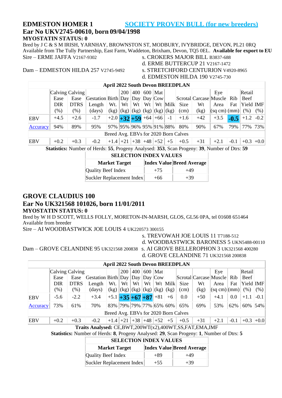#### **EDMESTON HOMER 1 SOCIETY PROVEN BULL (for new breeders) Ear No UKV2745-00610, born 09/04/1998 MYOSTATIN STATUS: 0**

Bred by J C & S M IRISH, YARNHAY, BROWNSTON ST, MODBURY, IVYBRIDGE, DEVON, PL21 0RQ Available from The Tully Partnership, East Farm, Waddeton, Brixham, Devon, TQ5 0EL. **Available for export to EU** s. CROKERS MAJOR BILL B3837-688

- 
- d. ERME BUTTERCUP 21 V2167-1472
- d. EDMESTON HILDA 190 V2745-730

Dam – EDMESTON HILDA 257 V2745-9492 s. STRETCHFORD CENTURION V4920-8965

| <b>April 2022 South Devon BREEDPLAN</b> |                                                                                        |             |                                                                              |                        |                                  |    |    |                 |         |        |       |                            |        |             |      |
|-----------------------------------------|----------------------------------------------------------------------------------------|-------------|------------------------------------------------------------------------------|------------------------|----------------------------------|----|----|-----------------|---------|--------|-------|----------------------------|--------|-------------|------|
|                                         | Calving Calving                                                                        |             |                                                                              |                        | <b>200</b>                       |    |    | 400   600   Mat |         |        |       | Eye                        |        | Retail      |      |
|                                         | Ease                                                                                   | Ease        | $\text{Gestation}$ Birth $\text{Day}$ $\text{Day}$ $\text{Day}$ $\text{Cow}$ |                        |                                  |    |    |                 |         |        |       | Scrotal Carcase Muscle Rib |        | <b>Beef</b> |      |
|                                         | <b>DIR</b>                                                                             | <b>DTRS</b> | Length                                                                       | Wt.                    | Wt                               | Wt | Wt |                 | Wt Milk | Size   | Wt    | Area                       | Fat    | Yield IMF   |      |
|                                         | $(\%)$                                                                                 | $(\%)$      | (days)                                                                       | (kg)                   | (kg)   (kg)   (kg)   (kg)   (kg) |    |    |                 |         | (cm)   | (kg)  | (sq cm)(mm)                |        | (% )        | (% ) |
| <b>EBV</b>                              | $+4.5$                                                                                 | $+2.6$      | $-1.7$                                                                       | $+2.0$ +32 +59 +64 +66 |                                  |    |    |                 | $-1$    | $+1.6$ | $+42$ | $+3.5$                     | $-0.5$ | $+1.2$ -0.2 |      |
| Accuracy                                | 90%<br>79%<br>73%<br>94%<br>89%<br>97% 95% 96% 95% 91% 88%<br>67%<br>95%<br>80%<br>77% |             |                                                                              |                        |                                  |    |    |                 |         |        |       |                            |        |             |      |
| Breed Avg. EBVs for 2020 Born Calves    |                                                                                        |             |                                                                              |                        |                                  |    |    |                 |         |        |       |                            |        |             |      |
| <b>EBV</b>                              | $+0.2$                                                                                 | $+0.3$      | $-0.2$                                                                       | $+1.4$ +21 +38 +48 +52 |                                  |    |    |                 | $+5$    | $+0.5$ | $+31$ | $+2.1$                     | $-0.1$ | $+0.3$ +0.0 |      |

**Statistics:** Number of Herds: **55**, Progeny Analysed: **353**, Scan Progeny: **39**, Number of Dtrs: **59**

#### **SELECTION INDEX VALUES**

| <b>Market Target</b>      |       | <b>Index Value Breed Average</b> |
|---------------------------|-------|----------------------------------|
| <b>Quality Beef Index</b> | $+75$ | $+49$                            |
| Suckler Replacement Index | $+66$ | $+39$                            |

#### **GROVE CLAUDIUS 100**

#### **Ear No UK321568 101026, born 11/01/2011**

#### **MYOSTATIN STATUS: 0**

Bred by W H D SCOTT, WELLS FOLLY, MORETON-IN-MARSH, GLOS, GL56 0PA, tel 01608 651464 Available from breeder

Sire – AI WOODBASTWICK JOE LOUIS 4 UK220573 300155

s. TREVOWAH JOE LOUIS 11 T7188-512

d. WOODBASTWICK BARONESS 5 UKN5488-00110

|                                      | <b>April 2022 South Devon BREEDPLAN</b> |             |                                                                                                               |                            |            |                                           |    |           |         |             |       |                                    |        |          |        |
|--------------------------------------|-----------------------------------------|-------------|---------------------------------------------------------------------------------------------------------------|----------------------------|------------|-------------------------------------------|----|-----------|---------|-------------|-------|------------------------------------|--------|----------|--------|
|                                      | Calving Calving                         |             |                                                                                                               |                            | <b>200</b> | 400                                       |    | $600$ Mat |         |             |       | Eye                                |        | Retail   |        |
|                                      | Ease                                    | Ease        | $\left  \text{Gestation} \right  \text{Birth} \left  \text{Day} \right  \text{Day} \left  \text{Cow} \right $ |                            |            |                                           |    |           |         |             |       | Scrotal Carcase Muscle Rib         |        | Beef     |        |
|                                      | DIR                                     | <b>DTRS</b> | Length                                                                                                        | Wt.                        | Wt         | Wt                                        | Wt |           | Wt Milk | <b>Size</b> | Wt    | Area                               | Fat    | Yield MF |        |
|                                      | (% )                                    | $(\%)$      | $\frac{days}{9}$                                                                                              |                            |            | $(kg)   (kg)   (kg)   (kg)   (kg)   (kg)$ |    |           |         | (cm)        | (kg)  | $ \text{(sq cm)} $ $ \text{(mm)} $ |        | (% )     | (%)    |
| EBV                                  | $-5.6$                                  | $-2.2$      | $+3.4$                                                                                                        | $+5.1 + 35 + 67 + 87 + 81$ |            |                                           |    |           | $+6$    | 0.0         | $+50$ | $+4.1$                             | 0.0    | $+1.1$   | $-0.1$ |
| Accuracy                             | 73%                                     | 61%         | 70%                                                                                                           | 83% 79% 79% 77% 65% 60%    |            |                                           |    |           |         | 65%         | 69%   | 53%                                | 62%    | 60% 54%  |        |
| Breed Avg. EBVs for 2020 Born Calves |                                         |             |                                                                                                               |                            |            |                                           |    |           |         |             |       |                                    |        |          |        |
| EBV                                  | $+0.2$                                  | $+0.3$      | $-0.2$                                                                                                        | $+1.4$ +21 +38 +48 +52     |            |                                           |    |           | $+5$    | $+0.5$      | $+31$ | $+2.1$                             | $-0.1$ | $+0.3$   | $+0.0$ |

**Traits Analysed:** CE,BWT,200WT(x2),400WT,SS,FAT,EMA,IMF

**Statistics:** Number of Herds: **8**, Progeny Analysed: **29**, Scan Progeny: **1**, Number of Dtrs: **5**

| <b>SELECTION INDEX VALUES</b> |       |                                  |  |  |  |  |  |  |  |  |  |
|-------------------------------|-------|----------------------------------|--|--|--|--|--|--|--|--|--|
| <b>Market Target</b>          |       | <b>Index Value Breed Average</b> |  |  |  |  |  |  |  |  |  |
| Quality Beef Index            | $+89$ | +49                              |  |  |  |  |  |  |  |  |  |
| Suckler Replacement Index     | $+55$ | $+39$                            |  |  |  |  |  |  |  |  |  |

Dam – GROVE CELANDINE 95 UK321568 200838 s. AI GROVE BELLEROPHON 3 UK321568 400280

d. GROVE CELANDINE 71 UK321568 200838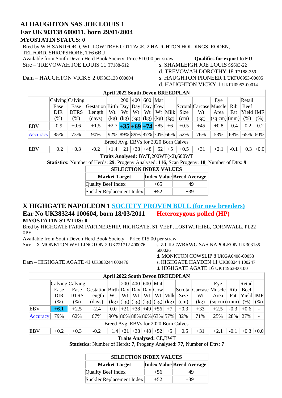### **AI HAUGHTON SAS JOE LOUIS 1 Ear UK303138 600011, born 29/01/2004**

#### **MYOSTATIN STATUS: 0**

Bred by W H SANDFORD, WILLOW TREE COTTAGE, 2 HAUGHTON HOLDINGS, RODEN, TELFORD, SHROPSHORE, TF6 6BU Available from South Devon Herd Book Society Price £10.00 per straw **Qualifies for export to EU**<br>Sire – TREVOWAH JOE LOUIS 11 T7188-512 s. SHAMLEIGH JOE LOUIS SS603-22

Sire – TREVOWAH JOE LOUIS 11 T7188-512

d. TREVOWAH DOROTHY 18 T7188-359 d. HAUGHTON VICKY 1 UKFU0953-00014

Dam – HAUGHTON VICKY 2 UK303138 600004 s. HAUGHTON PIONEER 1 UKFU0953-00005

|                                      | <b>April 2022 South Devon BREEDPLAN</b>                                                                                 |             |                                                                                                               |                            |    |    |    |  |         |                                      |                        |        |        |            |        |
|--------------------------------------|-------------------------------------------------------------------------------------------------------------------------|-------------|---------------------------------------------------------------------------------------------------------------|----------------------------|----|----|----|--|---------|--------------------------------------|------------------------|--------|--------|------------|--------|
|                                      | Calving Calving <br>600<br>Retail<br> 400 <br>Mat<br><b>200</b><br>Eye                                                  |             |                                                                                                               |                            |    |    |    |  |         |                                      |                        |        |        |            |        |
|                                      | Ease                                                                                                                    | Ease        | $\left  \text{Gestation} \right  \text{Birth} \left  \text{Day} \right  \text{Day} \left  \text{Cow} \right $ |                            |    |    |    |  |         |                                      | Scrotal Carcase Muscle |        | Rib    | Beef       |        |
|                                      | <b>DIR</b>                                                                                                              | <b>DTRS</b> | Length                                                                                                        | Wt.                        | Wt | Wt | Wt |  | Wt Milk | Size                                 | Wt                     | Area   | Fat    | Yield  IMF |        |
|                                      | (% )<br>$(\%)$<br>(kg)<br>(sq cm)(mm)<br>$(\% )$<br>$(kg)$ $(kg)$ $(kg)$ $(kg)$ $(kg)$ $(kg)$<br>(% )<br>(days)<br>(cm) |             |                                                                                                               |                            |    |    |    |  |         |                                      |                        |        |        |            |        |
| <b>EBV</b>                           | $-0.9$                                                                                                                  | $+0.6$      | $+1.5$                                                                                                        | $+2.7$ + 35 + 69 + 74 + 85 |    |    |    |  | $+6$    | $+0.5$                               | $+45$                  | $+0.8$ | $-0.4$ | $-0.2$     | $-0.2$ |
| Accuracy                             | 73%<br>92% 89% 89% 87% 74% 66%<br>85%<br>76%<br>53%<br>68%<br>65% 60%<br>90%<br>52%                                     |             |                                                                                                               |                            |    |    |    |  |         |                                      |                        |        |        |            |        |
| Breed Avg. EBVs for 2020 Born Calves |                                                                                                                         |             |                                                                                                               |                            |    |    |    |  |         |                                      |                        |        |        |            |        |
| <b>EBV</b>                           | $+38$ +48 +52<br>$+0.3$<br>$+0.3$<br>$+0.2$<br>$+1.4$ +21<br>$+5$<br>$+31$<br>$-0.2$<br>$+0.5$<br>$+2.1$<br>$-0.1$      |             |                                                                                                               |                            |    |    |    |  |         |                                      |                        |        |        |            | $+0.0$ |
|                                      |                                                                                                                         |             |                                                                                                               |                            |    |    |    |  |         | Traits Analysed: BWT,200WT(x2),600WT |                        |        |        |            |        |

**Statistics:** Number of Herds: **29**, Progeny Analysed: **116**, Scan Progeny: **18**, Number of Dtrs: **9**

| <b>SELECTION INDEX VALUES</b> |        |                                  |  |  |  |  |  |  |  |  |
|-------------------------------|--------|----------------------------------|--|--|--|--|--|--|--|--|
| <b>Market Target</b>          |        | <b>Index Value Breed Average</b> |  |  |  |  |  |  |  |  |
| Quality Beef Index            | $+65$  | $+49$                            |  |  |  |  |  |  |  |  |
| Suckler Replacement Index     | $+52.$ | $+39$                            |  |  |  |  |  |  |  |  |

#### **X HIGHGATE NAPOLEON 1 SOCIETY PROVEN BULL (for new breeders) Ear No UK383244 100604, born 18/03/2011 Heterozygous polled (HP) MYOSTATIN STATUS: 0**

Bred by HIGHGATE FARM PARTNERSHIP, HIGHGATE, ST VEEP, LOSTWITHIEL, CORNWALL, PL22 0PE

Available from South Devon Herd Book Society. Price £15.00 per straw

Sire – X MONKTON WELLINGTON 2 UK721712 400076 s. Z CILGWRRWG SAS NAPOLEON UK303135

Dam – HIGHGATE AGATE 41 UK383244 600476 s. HIGHGATE HAYDEN 11 UK383244 100247

600026

d. MONKTON COWSLIP 8 UKGA0408-00053 d. HIGHGATE AGATE 16 UKT1963-00100

|            | <b>April 2022 South Devon BREEDPLAN</b> |             |                                 |                                           |    |    |  |                        |      |        |                            |             |        |           |        |
|------------|-----------------------------------------|-------------|---------------------------------|-------------------------------------------|----|----|--|------------------------|------|--------|----------------------------|-------------|--------|-----------|--------|
|            | Calving Calving                         |             |                                 |                                           |    |    |  | 200 400 600 Mat        |      |        |                            | Eye         |        | Retail    |        |
|            | Ease                                    | Ease        | Gestation Birth Day Day Day Cow |                                           |    |    |  |                        |      |        | Scrotal Carcase Muscle Rib |             |        | Beef      |        |
|            | DIR                                     | <b>DTRS</b> | Length                          | Wt.                                       | Wt | Wt |  | $Wt \mid Wt \mid$ Milk |      | Size   | Wt                         | Area        | Fat    | Yield IMF |        |
|            | $(\%)$                                  | $(\%)$      | (days)                          | $(kg)$ $(kg)$ $(kg)$ $(kg)$ $(kg)$ $(kg)$ |    |    |  |                        |      | (cm)   | (kg)                       | (sq cm)(mm) |        | (% )      | (% )   |
| EBV        | $+6.1$                                  | $+2.5$      | $-2.4$                          | $0.0\,$                                   |    |    |  | $+21$ +38 +49 +56      | $+7$ | $+0.3$ | $+33$                      | $+2.5$      | $-0.3$ | $+0.6$    |        |
| Accuracy   | 79%                                     | 62%         | 67%                             | 90% 86% 88% 80% 63% 57%                   |    |    |  |                        |      | 32%    | 71%                        | 25%         | 28%    | 27%       |        |
|            | Breed Avg. EBVs for 2020 Born Calves    |             |                                 |                                           |    |    |  |                        |      |        |                            |             |        |           |        |
| <b>EBV</b> | $+0.2$                                  | $+0.3$      | $-0.2$                          | $+1.4$ +21 +38 +48 +52                    |    |    |  |                        | $+5$ | $+0.5$ | $+31$                      | $+2.1$      | $-0.1$ | $+0.3$    | $+0.0$ |

**Traits Analysed:** CE,BWT

**Statistics:** Number of Herds: **7**, Progeny Analysed: **77**, Number of Dtrs: **7**

| <b>SELECTION INDEX VALUES</b> |        |                                  |  |  |  |  |  |  |  |  |  |
|-------------------------------|--------|----------------------------------|--|--|--|--|--|--|--|--|--|
| <b>Market Target</b>          |        | <b>Index Value Breed Average</b> |  |  |  |  |  |  |  |  |  |
| Quality Beef Index            | $+56$  | +49                              |  |  |  |  |  |  |  |  |  |
| Suckler Replacement Index     | $+52.$ | $+39$                            |  |  |  |  |  |  |  |  |  |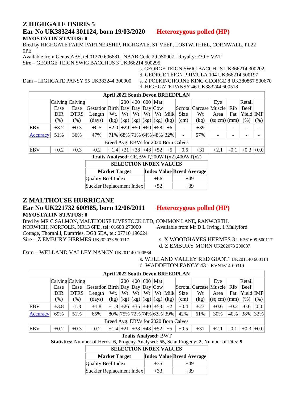#### **Z HIGHGATE OSIRIS 5 Ear No UK383244 301124, born 19/03/2020 Heterozygous polled (HP) MYOSTATIN STATUS: 0**

Bred by HIGHGATE FARM PARTNERSHIP, HIGHGATE, ST VEEP, LOSTWITHIEL, CORNWALL, PL22 0PE

Available from Genus ABS, tel 01270 606681. NAAB Code 29DS0007. Royalty: £30 + VAT Sire – GEORGE TEIGN SWIG BACCHUS 3 UK366214 500295

s. GEORGE TEIGN SWIG BACCHUS UK366214 300202 d. GEORGE TEIGN PRIMULA 104 UK366214 500197 Dam – HIGHGATE PANSY 55 UK383244 300900 s. Z POLKINGHORNE KING GEORGE 8 UK380867 500670 d. HIGHGATE PANSY 46 UK383244 600518

| <b>April 2022 South Devon BREEDPLAN</b>             |                                                                                                               |             |                                 |                                           |     |    |    |                   |         |      |       |                        |     |           |        |
|-----------------------------------------------------|---------------------------------------------------------------------------------------------------------------|-------------|---------------------------------|-------------------------------------------|-----|----|----|-------------------|---------|------|-------|------------------------|-----|-----------|--------|
|                                                     | Calving Calving                                                                                               |             |                                 |                                           | 200 |    |    | $ 400 $ 600   Mat |         |      |       | Eye                    |     | Retail    |        |
|                                                     | Ease                                                                                                          | Ease        | Gestation Birth Day Day Day Cow |                                           |     |    |    |                   |         |      |       | Scrotal Carcase Muscle | Rib | Beef      |        |
|                                                     | DIR                                                                                                           | <b>DTRS</b> | Length                          | Wt.                                       | Wt  | Wt | Wt |                   | Wt Milk | Size | Wt    | Area                   | Fat | Yield IMF |        |
|                                                     | $(\% )$                                                                                                       | $(\%)$      | $\frac{days}{9}$                | $(kg)$ $(kg)$ $(kg)$ $(kg)$ $(kg)$ $(kg)$ |     |    |    |                   |         | (cm) | (kg)  | (sq cm) (mm)  (% )     |     |           | (% )   |
| EBV                                                 | $+3.2$                                                                                                        | $+0.3$      | $+0.5$                          | $+2.0$ +29 +50 +60 +58                    |     |    |    |                   | $+6$    |      | $+39$ |                        |     |           |        |
| Accuracy                                            | 51%                                                                                                           | 36%         | 47%                             | 71% 68% 71% 64% 48% 32%                   |     |    |    |                   |         |      | 57%   |                        |     |           |        |
| Breed Avg. EBVs for 2020 Born Calves                |                                                                                                               |             |                                 |                                           |     |    |    |                   |         |      |       |                        |     |           |        |
| <b>EBV</b>                                          | $+1.4$ +21 +38 +48 +52<br>$+5$<br>$+0.3$<br>$+31$<br>$+0.3$<br>$+0.2$<br>$-0.1$<br>$-0.2$<br>$+0.5$<br>$+2.1$ |             |                                 |                                           |     |    |    |                   |         |      |       |                        |     |           | $+0.0$ |
| Traits Analysed: CE, BWT, $200WT(x2)$ , $400WT(x2)$ |                                                                                                               |             |                                 |                                           |     |    |    |                   |         |      |       |                        |     |           |        |

| <b>SELECTION INDEX VALUES</b> |       |                                  |  |  |  |  |  |  |  |  |  |
|-------------------------------|-------|----------------------------------|--|--|--|--|--|--|--|--|--|
| <b>Market Target</b>          |       | <b>Index Value Breed Average</b> |  |  |  |  |  |  |  |  |  |
| Quality Beef Index            | $+66$ | $+49$                            |  |  |  |  |  |  |  |  |  |
| Suckler Replacement Index     | $+52$ | $+39$                            |  |  |  |  |  |  |  |  |  |

#### **Z MALTHOUSE HURRICANE**

#### **Ear No UK221732 600985, born 12/06/2011 Heterozygous polled (HP) MYOSTATIN STATUS: 0**

Bred by MR C SALMON, MALTHOUSE LIVESTOCK LTD, COMMON LANE, RANWORTH, NORWICH, NORFOLK, NR13 6FD, tel: 01603 270000 Available from Mr D L Irving, 1 Mallyford Cottage, Thornhill, Dumfries, DG3 5EA, tel: 07710 196624 Sire – Z EMBURY HERMES UK202073 500117 s. X WOODHAYES HERMES 3 UK361609 500117

d. Z EMBURY MORN UK202073 200037

#### Dam – WELLAND VALLEY NANCY UK201140 100564

s. WELLAND VALLEY RED GIANT UK201140 600114 d. WADDETON FANCY 43 UKVN1614-00319

|                 | <b>April 2022 South Devon BREEDPLAN</b>                           |             |                                                                                                      |                                           |    |    |    |  |         |        |                            |                             |        |           |          |
|-----------------|-------------------------------------------------------------------|-------------|------------------------------------------------------------------------------------------------------|-------------------------------------------|----|----|----|--|---------|--------|----------------------------|-----------------------------|--------|-----------|----------|
|                 | $ 400 600 $ Mat<br>Calving Calving<br>Retail<br><b>200</b><br>Eye |             |                                                                                                      |                                           |    |    |    |  |         |        |                            |                             |        |           |          |
|                 | Ease                                                              | Ease        | $\left  \text{Gestation}\right $ Birth $\left  \text{Day}\right $ Day $\left  \text{Day}\right $ Cow |                                           |    |    |    |  |         |        | Scrotal Carcase Muscle Rib |                             |        | Beef      |          |
|                 | <b>DIR</b>                                                        | <b>DTRS</b> | Length                                                                                               | Wt.                                       | Wt | Wt | Wt |  | Wt Milk | Size   | Wt                         | Area                        | Fat    | Yield IMF |          |
|                 | $(\% )$                                                           | $(\% )$     | (days)                                                                                               | $(kg)$ $(kg)$ $(kg)$ $(kg)$ $(kg)$ $(kg)$ |    |    |    |  |         | (cm)   | (kg)                       | $ \text{(sq cm)} $ (mm) $ $ |        | (% )      | (% )     |
| <b>EBV</b>      | $+3.8$                                                            | $-1.3$      | $+1.8$                                                                                               | $+1.8$ +26 +35 +40 +53                    |    |    |    |  | $+2$    | $+0.4$ | $+27$                      | $+0.6$                      | $+0.2$ | $-0.6$    | 0.0      |
| <b>Accuracy</b> | 69%                                                               | 51%         | 65%                                                                                                  | 80% 75% 72% 74% 63% 39%                   |    |    |    |  |         | 42%    | 61%                        | 30%                         | 40%    | 38%       | $ 32\% $ |
|                 | Breed Avg. EBVs for 2020 Born Calves                              |             |                                                                                                      |                                           |    |    |    |  |         |        |                            |                             |        |           |          |
| <b>EBV</b>      | $+0.2$                                                            | $+0.3$      | $-0.2$                                                                                               | $+1.4$ +21 +38 +48 +52                    |    |    |    |  | $+5$    | $+0.5$ | $+31$                      | $+2.1$                      | $-0.1$ | $+0.3$    | $+0.0$   |

**Traits Analysed:** BWT

**Statistics:** Number of Herds: **6**, Progeny Analysed: **55**, Scan Progeny: **2**, Number of Dtrs: **9**

| <b>SELECTION INDEX VALUES</b> |  |
|-------------------------------|--|
|-------------------------------|--|

| <b>Market Target</b>      |       | <b>Index Value Breed Average</b> |
|---------------------------|-------|----------------------------------|
| Quality Beef Index        | $+35$ | +49                              |
| Suckler Replacement Index | $+33$ | $+39$                            |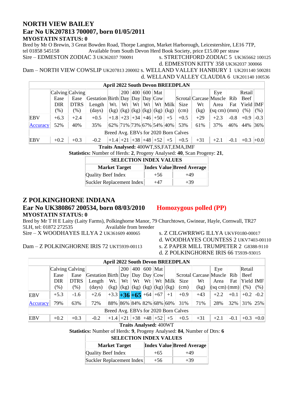#### **NORTH VIEW BAILEY Ear No UK207813 700007, born 01/05/2011 MYOSTATIN STATUS: 0**

Bred by Mr O Brewin, 3 Great Bowden Road, Thorpe Langton, Market Harborough, Leicestershire, LE16 7TP, tel 01858 545158 Available from South Devon Herd Book Society, price £15.00 per straw Sire – EDMESTON ZODIAC 3 UK362037 700091 s. STRETCHFORD ZODIAC 5 UK365662 100125

d. EDMESTON KITTY 358 UK362037 300066

Dam – NORTH VIEW COWSLIP UK207813 200002 s. WELLAND VALLEY HANBURY 1 UK201140 500281 d. WELLAND VALLEY CLAUDIA 6 UK201140 100536

|            | <b>April 2022 South Devon BREEDPLAN</b> |                 |                                                                                                               |                         |     |     |    |                                           |         |                                      |                        |             |        |           |        |
|------------|-----------------------------------------|-----------------|---------------------------------------------------------------------------------------------------------------|-------------------------|-----|-----|----|-------------------------------------------|---------|--------------------------------------|------------------------|-------------|--------|-----------|--------|
|            |                                         | Calving Calving |                                                                                                               |                         | 200 | 400 |    | $\vert 600 \vert$ Mat $\vert$             |         |                                      |                        | Eye         |        | Retail    |        |
|            | Ease                                    | Ease            | $\left  \text{Gestation} \right  \text{Birth} \left  \text{Day} \right  \text{Day} \left  \text{Cow} \right $ |                         |     |     |    |                                           |         |                                      | Scrotal Carcase Muscle |             | Rib    | Beef      |        |
|            | <b>DIR</b>                              | <b>DTRS</b>     | Length                                                                                                        | Wt.                     | Wt  | Wt  | Wt |                                           | Wt Milk | Size                                 | Wt                     | Area        | Fat    | Yield IMF |        |
|            | $(\% )$                                 | $(\% )$         | (days)                                                                                                        |                         |     |     |    | $(kg)$ $(kg)$ $(kg)$ $(kg)$ $(kg)$ $(kg)$ |         | (cm)                                 | (kg)                   | (sq cm)(mm) |        | (% )      | (% )   |
| EBV        | $+6.3$                                  | $+2.4$          | $+0.5$                                                                                                        | $+1.8$ +23 +34 +46 +50  |     |     |    |                                           | $+5$    | $+0.5$                               | $+29$                  | $+2.3$      | $-0.8$ | $+0.9$    | $-0.3$ |
| Accuracy   | 52%                                     | 40%             | 35%                                                                                                           | 62% 71% 73% 67% 54% 40% |     |     |    |                                           |         | 53%                                  | 61%                    | 37%         | 46%    | 44%       | 36%    |
|            |                                         |                 |                                                                                                               |                         |     |     |    |                                           |         | Breed Avg. EBVs for 2020 Born Calves |                        |             |        |           |        |
| <b>EBV</b> | $+0.2$                                  | $+0.3$          | $-0.2$                                                                                                        | $+1.4$ +21              |     |     |    | $+38$ +48 +52                             | $+5$    | $+0.5$                               | $+31$                  | $+2.1$      | $-0.1$ | $+0.3$    | $+0.0$ |

**Traits Analysed:** 400WT,SS,FAT,EMA,IMF

**Statistics:** Number of Herds: **2**, Progeny Analysed: **40**, Scan Progeny: **21**,

| <b>SELECTION INDEX VALUES</b> |       |                                  |  |  |  |  |  |  |  |  |  |  |
|-------------------------------|-------|----------------------------------|--|--|--|--|--|--|--|--|--|--|
| <b>Market Target</b>          |       | <b>Index Value Breed Average</b> |  |  |  |  |  |  |  |  |  |  |
| Quality Beef Index            | $+56$ | $+49$                            |  |  |  |  |  |  |  |  |  |  |
| Suckler Replacement Index     | +47   | $+39$                            |  |  |  |  |  |  |  |  |  |  |

#### **Z POLKINGHORNE INDIANA**

#### **Ear No UK380867 200534, born 08/03/2010 Homozygous polled (PP) MYOSTATIN STATUS: 0**

Bred by Mr T H E Laity (Laity Farms), Polkinghorne Manor, 79 Churchtown, Gwinear, Hayle, Cornwall, TR27<br>51 Available from breeder 5LH, tel: 01872 272535

Sire – X WOODHAYES ILLYA 2 UK361609 400065 s. Z CILGWRRWG ILLYA UKVF0180-00017

d. WOODHAYES COUNTESS 2 UKV7403-00110

Dam – Z POLKINGHORNE IRIS 72 UKT5939-00113 s. Z PAPER MILL TRUMPETER 2 G8388-9110

d. Z POLKINGHORNE IRIS 66 T5939-93015

| <b>April 2022 South Devon BREEDPLAN</b> |                                      |             |                                                                                                         |                                           |            |                            |    |           |         |                             |       |                                      |        |             |                       |
|-----------------------------------------|--------------------------------------|-------------|---------------------------------------------------------------------------------------------------------|-------------------------------------------|------------|----------------------------|----|-----------|---------|-----------------------------|-------|--------------------------------------|--------|-------------|-----------------------|
|                                         | Calving Calving                      |             |                                                                                                         |                                           | <b>200</b> | 400                        |    | $600$ Mat |         |                             |       | Eye                                  |        | Retail      |                       |
|                                         | Ease                                 | Ease        | $\left  \text{Gestation} \right $ Birth $\left  \text{Day} \right $ Day $\left  \text{Day} \right $ Cow |                                           |            |                            |    |           |         |                             |       | Scrotal Carcase Muscle Rib           |        | Beef        |                       |
|                                         | DIR                                  | <b>DTRS</b> | Length                                                                                                  | Wt.                                       | Wt         | Wt                         | Wt |           | Wt Milk | Size                        | Wt    | Area                                 | Fat    | Yield IMF   |                       |
|                                         | $(\%)$                               | $(\%)$      | (days)                                                                                                  | $(kg)   (kg)   (kg)   (kg)   (kg)   (kg)$ |            |                            |    |           |         | (cm)                        | (kg)  | $\vert$ (sq cm) $\vert$ (mm) $\vert$ |        | (% )        | (% )                  |
| <b>EBV</b>                              | $+5.3$                               | $-1.6$      | $+2.6$                                                                                                  | $+3.3 +36 +65 +64 +67$                    |            |                            |    |           | $+1$    | $+0.9$                      | $+43$ | $+2.2$                               | $+0.1$ | $+0.2$      | $\left  -0.2 \right $ |
| <b>Accuracy</b>                         | 79%                                  | 63%         | 72%                                                                                                     |                                           |            |                            |    |           |         | 88% 86% 84% 82% 68% 60% 31% | 71%   | 28%                                  | 32%    | 31% 25%     |                       |
|                                         | Breed Avg. EBVs for 2020 Born Calves |             |                                                                                                         |                                           |            |                            |    |           |         |                             |       |                                      |        |             |                       |
| <b>EBV</b>                              | $+0.2$                               | $+0.3$      | $-0.2$                                                                                                  | $+1.4$ +21 +38                            |            |                            |    | $+48$ +52 | $+5$    | $+0.5$                      | $+31$ | $+2.1$                               | $-0.1$ | $+0.3$ +0.0 |                       |
|                                         |                                      |             |                                                                                                         |                                           |            | <b>ER LI LI LA ARTISTE</b> |    |           |         |                             |       |                                      |        |             |                       |

**Traits Analysed:** 400WT

**Statistics:** Number of Herds: **9**, Progeny Analysed: **84**, Number of Dtrs: **6**

| <b>Market Target</b>      |       | <b>Index Value Breed Average</b> |
|---------------------------|-------|----------------------------------|
| Quality Beef Index        | $+65$ | $+49$                            |
| Suckler Replacement Index | $+56$ | $+39$                            |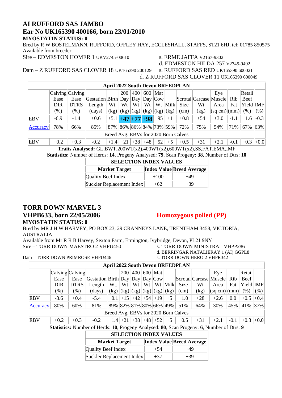#### **AI RUFFORD SAS JAMBO Ear No UK165390 400166, born 23/01/2010 MYOSTATIN STATUS: 0**

Bred by R W BOSTELMANN, RUFFORD, OFFLEY HAY, ECCLESHALL, STAFFS, ST21 6HJ, tel: 01785 850575 Available from breeder

Sire – EDMESTON HOMER 1 UKV2745-00610 s. ERME JAFFA V2167-9302

d. EDMESTON HILDA 257 V2745-9492<br>s. RUFFORD SAS RED UK165390 600021

Dam - Z RUFFORD SAS CLOVER 18 UK165390 200129

d. Z RUFFORD SAS CLOVER 11 UK165390 600049

|            | <b>April 2022 South Devon BREEDPLAN</b> |             |                                                                               |                                |            |     |                                                  |           |         |        |                            |             |        |             |          |
|------------|-----------------------------------------|-------------|-------------------------------------------------------------------------------|--------------------------------|------------|-----|--------------------------------------------------|-----------|---------|--------|----------------------------|-------------|--------|-------------|----------|
|            | Calving Calving                         |             |                                                                               |                                | <b>200</b> | 400 |                                                  | $600$ Mat |         |        |                            | Eye         |        | Retail      |          |
|            | Ease                                    | Ease        | $\left Gestation\right Birth\right Day\left Day\right Cow\right $             |                                |            |     |                                                  |           |         |        | Scrotal Carcase Muscle Rib |             |        | Beef        |          |
|            | DIR                                     | <b>DTRS</b> | Length                                                                        | Wt.                            | Wt         | Wt  | Wt                                               |           | Wt Milk | Size   | Wt                         | Area        | Fat    | Yield IMF   |          |
|            | (%)                                     | $(\% )$     | $\frac{days}{9}$                                                              |                                |            |     | $(kg)$ $(kg)$ $(kg)$ $(kg)$ $(kg)$ $(kg)$ $(kg)$ |           |         | (cm)   | (kg)                       | (sq cm)(mm) |        | (% )        | (% )     |
| EBV        | $-6.9$                                  | $-1.4$      | $+0.6$                                                                        | $+5.1$ $+47$ $+77$ $+98$ $+95$ |            |     |                                                  |           | $+1$    | $+0.8$ | $+54$                      | $+3.0$      | $-1.1$ | $+1.6$      | $-0.3$   |
| Accuracy   | 78%                                     | 66%         | 85%                                                                           | 87% 86% 86% 84% 73% 59%        |            |     |                                                  |           |         | 72%    | 75%                        | 54%         | 71%    | 67%         | $ 63\% $ |
|            | Breed Avg. EBVs for 2020 Born Calves    |             |                                                                               |                                |            |     |                                                  |           |         |        |                            |             |        |             |          |
| <b>EBV</b> | $+0.2$                                  | $+0.3$      | $-0.2$                                                                        | $+1.4$ +21 +38 +48 +52         |            |     |                                                  |           | $+5$    | $+0.5$ | $+31$                      | $+2.1$      | $-0.1$ | $+0.3$ +0.0 |          |
|            |                                         |             | $\mathbf{T}21.$ A $11.$ Of DWT $200W$ TC-2) $400WW$ (-2) $200WW$ (-2) $0.00W$ |                                |            |     |                                                  |           |         |        |                            |             |        |             |          |

**Traits Analysed:** GL,BWT,200WT(x2),400WT(x2),600WT(x2),SS,FAT,EMA,IMF **Statistics:** Number of Herds: **14**, Progeny Analysed: **79**, Scan Progeny: **38**, Number of Dtrs: **10**

| <b>SELECTION INDEX VALUES</b>                            |        |       |  |  |  |  |  |  |  |  |  |
|----------------------------------------------------------|--------|-------|--|--|--|--|--|--|--|--|--|
| <b>Index Value Breed Average</b><br><b>Market Target</b> |        |       |  |  |  |  |  |  |  |  |  |
| <b>Quality Beef Index</b>                                | $+100$ | $+49$ |  |  |  |  |  |  |  |  |  |
| Suckler Replacement Index                                | $+62$  | $+39$ |  |  |  |  |  |  |  |  |  |

## **TORR DOWN MARVEL 3**

Dam – TORR DOWN PRIMROSE VHPU446

#### **VHPB633, born 22/05/2006 Homozygous polled (PP)**

**MYOSTATIN STATUS: 0**

Bred by MR J H W HARVEY, PO BOX 23, 29 CRANNEYS LANE, TRENTHAM 3458, VICTORIA, AUSTRALIA

Available from Mr R R B Harvey, Sexton Farm, Ermington, Ivybridge, Devon, PL21 9NY Sire – TORR DOWN MAESTRO 2 VHPU450 s. TORR DOWN MINISTRAL VHPP286

d. BERRINGAR NATALIERAY 1 (AI) GGPL8<br>s. TORR DOWN HERO 2 VHPR342

| <b>April 2022 South Devon BREEDPLAN</b> |                                      |             |                                                                                                                                                                                                          |                                            |            |     |    |           |         |        |                            |                    |        |             |      |
|-----------------------------------------|--------------------------------------|-------------|----------------------------------------------------------------------------------------------------------------------------------------------------------------------------------------------------------|--------------------------------------------|------------|-----|----|-----------|---------|--------|----------------------------|--------------------|--------|-------------|------|
|                                         | Calving Calving                      |             |                                                                                                                                                                                                          |                                            | 200        | 400 |    | 600   Mat |         |        |                            | Eye                |        | Retail      |      |
|                                         | Ease                                 | Ease        | Gestation Birth Day Day Day Cow                                                                                                                                                                          |                                            |            |     |    |           |         |        | Scrotal Carcase Muscle Rib |                    |        | Beef        |      |
|                                         | <b>DIR</b>                           | <b>DTRS</b> | Length                                                                                                                                                                                                   |                                            | $Wt.$   Wt | Wt  | Wt |           | Wt Milk | Size   | Wt                         | Area               | Fat    | Yield IMF   |      |
|                                         | $(\%)$                               | $(\% )$     | (days)                                                                                                                                                                                                   | $(x g)$ $(kg)$ $(kg)$ $(kg)$ $(kg)$ $(kg)$ |            |     |    |           |         | (cm)   | (kg)                       | (sq cm) (mm)  (% ) |        |             | (% ) |
| EBV                                     | $-3.6$                               | $+0.4$      | $-5.4$                                                                                                                                                                                                   | $+0.1$ +15 +42 +54 +19                     |            |     |    |           | $+5$    | $+1.0$ | $+28$                      | $+2.6$             | 0.0    | $+0.5$ +0.4 |      |
| Accuracy                                | 80%                                  | 60%         | 81%                                                                                                                                                                                                      | 89%  82%  81%  80%  66%  49%               |            |     |    |           |         | 51%    | 64%                        | 30%                | 45%    | 41% 37%     |      |
|                                         | Breed Avg. EBVs for 2020 Born Calves |             |                                                                                                                                                                                                          |                                            |            |     |    |           |         |        |                            |                    |        |             |      |
| <b>EBV</b>                              | $+0.2$                               | $+0.3$      | $-0.2$                                                                                                                                                                                                   | $+1.4$ +21 +38 +48 +52                     |            |     |    |           | $+5$    | $+0.5$ | $+31$                      | $+2.1$             | $-0.1$ | $+0.3$ +0.0 |      |
|                                         |                                      |             | $\mathcal{O}_{\mathcal{A}}$ of $\mathcal{A}_{\mathcal{A}}$ is the set of Heads, $\mathcal{A}_{\mathcal{A}}$ Decrees Assets of $\mathcal{A}_{\mathcal{A}}$ Decrees Decrees of $\mathcal{A}_{\mathcal{A}}$ |                                            |            |     |    |           |         |        |                            |                    |        |             |      |

**Statistics:** Number of Herds: **10**, Progeny Analysed: **80**, Scan Progeny: **6**, Number of Dtrs: **9**

| <b>SELECTION INDEX VALUES</b> |       |                                  |  |  |  |  |  |  |  |  |  |  |
|-------------------------------|-------|----------------------------------|--|--|--|--|--|--|--|--|--|--|
| <b>Market Target</b>          |       | <b>Index Value Breed Average</b> |  |  |  |  |  |  |  |  |  |  |
| Quality Beef Index            | $+54$ | +49                              |  |  |  |  |  |  |  |  |  |  |
| Suckler Replacement Index     | $+37$ | $+39$                            |  |  |  |  |  |  |  |  |  |  |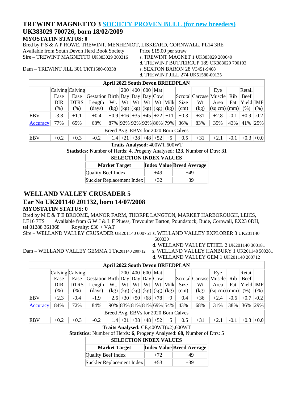#### **TREWINT MAGNETTO 3 SOCIETY PROVEN BULL (for new breeders)**

#### **UK383029 700726, born 18/02/2009**

**MYOSTATIN STATUS: 0**

Bred by P S & A P ROWE, TREWINT, MENHENIOT, LISKEARD, CORNWALL, PL14 3RE Available from South Devon Herd Book Society Price £15.00 per straw Sire – TREWINT MAGNETTO UK383029 300316 s. TREWINT MAGNET 1 UK383029 200049

d. TREWINT BUTTERCUP 189 UK383029 700103

Dam – TREWINT JILL 301 UKT1580-00338 s. SEXTON BARON 28 V3451-9408

d. TREWINT JILL 274 UK51580-00135

|          | <b>April 2022 South Devon BREEDPLAN</b> |             |                                   |                            |              |         |    |                                           |         |        |                            |                                      |        |             |        |
|----------|-----------------------------------------|-------------|-----------------------------------|----------------------------|--------------|---------|----|-------------------------------------------|---------|--------|----------------------------|--------------------------------------|--------|-------------|--------|
|          | Calving Calving                         |             |                                   |                            |              | 200 400 |    | 600   Mat                                 |         |        |                            | Eye                                  |        | Retail      |        |
|          | Ease                                    | Ease        | Gestation Birth Day Day Day $Cow$ |                            |              |         |    |                                           |         |        | Scrotal Carcase Muscle Rib |                                      |        | Beef        |        |
|          | <b>DIR</b>                              | <b>DTRS</b> | Length                            |                            | $Wt.$   $Wt$ | Wt      | Wt |                                           | Wt Milk | Size   | Wt                         | Area                                 | Fat    | Yield IMF   |        |
|          | $(\%)$                                  | $(\%)$      | (days)                            |                            |              |         |    | $(kg)$ $(kg)$ $(kg)$ $(kg)$ $(kg)$ $(kg)$ |         | (cm)   | (kg)                       | $\vert$ (sq cm) $\vert$ (mm) $\vert$ |        | (% )        | (% )   |
| EBV      | $-3.8$                                  | $+1.1$      | $+0.4$                            | $+0.9$ +16 +35 +45 +22 +11 |              |         |    |                                           |         | $+0.3$ | $+31$                      | $+2.8$                               | $-0.1$ | $+0.9$      | $-0.2$ |
| Accuracy | 77%                                     | 65%         | 68%                               | 87% 92% 92% 92% 86% 79%    |              |         |    |                                           |         | 36%    | 83%                        | 35%                                  | 43%    | 41% 25%     |        |
|          | Breed Avg. EBVs for 2020 Born Calves    |             |                                   |                            |              |         |    |                                           |         |        |                            |                                      |        |             |        |
| EBV      | $+0.2$                                  | $+0.3$      | $-0.2$                            | $+1.4$ +21 +38 +48 +52     |              |         |    |                                           | $+5$    | $+0.5$ | $+31$                      | $+2.1$                               | $-0.1$ | $+0.3$ +0.0 |        |

#### **Traits Analysed:** 400WT,600WT

**Statistics:** Number of Herds: **4**, Progeny Analysed: **123**, Number of Dtrs: **31**

| <b>SELECTION INDEX VALUES</b> |       |                                  |  |  |  |  |  |  |  |  |  |
|-------------------------------|-------|----------------------------------|--|--|--|--|--|--|--|--|--|
| <b>Market Target</b>          |       | <b>Index Value Breed Average</b> |  |  |  |  |  |  |  |  |  |
| Quality Beef Index            | $+49$ | $+49$                            |  |  |  |  |  |  |  |  |  |
| Suckler Replacement Index     | $+32$ | $+39$                            |  |  |  |  |  |  |  |  |  |

#### **WELLAND VALLEY CRUSADER 5**

#### **Ear No UK201140 201132, born 14/07/2008**

#### **MYOSTATIN STATUS: 0**

Bred by M E & T E BROOME, MANOR FARM, THORPE LANGTON, MARKET HARBOROUGH, LEICS, LE16 7TS Available from G W J & L F Pluess, Trevoulter Barton, Poundstock, Bude, Cornwall, EX23 0DH, tel 01288 361368 Royalty: £30 + VAT

Sire – WELLAND VALLEY CRUSADER UK201140 600751 s. WELLAND VALLEY EXPLORER 3 UK201140

500330

d. WELLAND VALLEY ETHEL 2 UK201140 300181

Dam – WELLAND VALLEY GEMMA 1 UK201140 200712 s. WELLAND VALLEY HANBURY 1 UK201140 500281

d. WELLAND VALLEY GEM 1 UK201140 200712

|  | <b>April 2022 South Devon BREEDPLAN</b> |
|--|-----------------------------------------|

|                                      | $Calving$ Calving |             |                                                                                                               |                                           |    |    |  | 200   400   600   Mat |                    |        |                            | Eve         |        | Retail    |        |
|--------------------------------------|-------------------|-------------|---------------------------------------------------------------------------------------------------------------|-------------------------------------------|----|----|--|-----------------------|--------------------|--------|----------------------------|-------------|--------|-----------|--------|
|                                      | Ease              | Ease        | $\left  \text{Gestation} \right  \text{Birth} \left  \text{Day} \right  \text{Day} \left  \text{Cow} \right $ |                                           |    |    |  |                       |                    |        | Scrotal Carcase Muscle Rib |             |        | Beef      |        |
|                                      | <b>DIR</b>        | <b>DTRS</b> | Length                                                                                                        | Wt.                                       | Wt | Wt |  |                       | $Wt$   $Wt$   Milk | Size   | Wt                         | Area        | Fat    | Yield IMF |        |
|                                      | $(\% )$           | $(\%)$      | (days)                                                                                                        | $(kg)$ $(kg)$ $(kg)$ $(kg)$ $(kg)$ $(kg)$ |    |    |  |                       |                    | (cm)   | (kg)                       | (sq cm)(mm) |        | (% )      | (% )   |
| <b>EBV</b>                           | $+2.3$            | $-0.4$      | $-1.9$                                                                                                        | $+2.6$ +30 +50 +68 +78                    |    |    |  |                       | $+9$               | $+0.4$ | $+36$                      | $+2.4$      | $-0.6$ | $+0.7$    | $-0.2$ |
| Accuracy                             | 84%               | 72%         | 84%                                                                                                           | 90%  83%  81%  81%  69%  54%              |    |    |  |                       |                    | 43%    | 68%                        | 31%         | 38%    | 36% 29%   |        |
| Breed Avg. EBVs for 2020 Born Calves |                   |             |                                                                                                               |                                           |    |    |  |                       |                    |        |                            |             |        |           |        |
| <b>EBV</b>                           | $+0.2$            | $+0.3$      | $-0.2$                                                                                                        | $+1.4$ +21 +38 +48 +52                    |    |    |  |                       | $+5$               | $+0.5$ | $+31$                      | $+2.1$      | $-0.1$ | $+0.3$    | $+0.0$ |

**Traits Analysed:** CE,400WT(x2),600WT

**Statistics:** Number of Herds: **6**, Progeny Analysed: **68**, Number of Dtrs: **5**

| <b>Market Target</b>      |       | <b>Index Value Breed Average</b> |
|---------------------------|-------|----------------------------------|
| Quality Beef Index        | $+72$ | $+49$                            |
| Suckler Replacement Index | $+53$ | $+39$                            |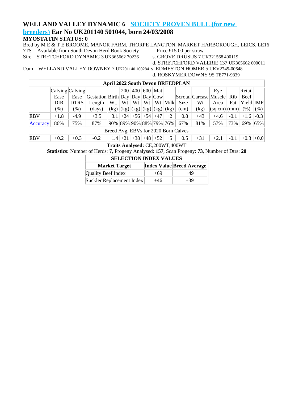#### **WELLAND VALLEY DYNAMIC 6 SOCIETY PROVEN BULL (for new**

#### **breeders) Ear No UK201140 501044, born 24/03/2008**

#### **MYOSTATIN STATUS: 0**

Bred by M E & T E BROOME, MANOR FARM, THORPE LANGTON, MARKET HARBOROUGH, LEICS, LE16<br>7TS Available from South Devon Herd Book Society Price £15.00 per straw 7TS Available from South Devon Herd Book Society<br>
Sire – STRETCHFORD DYNAMIC 3 UK365662 70236 s. GROVE DRUSUS 7 UK321568 400119

Sire – STRETCHFORD DYNAMIC 3 UK365662 70236

- 
- 

d. STRETCHFORD VALERIE 137 UK365662 600011

Dam – WELLAND VALLEY DOWNEY 7 UK201140 100284 s. EDMESTON HOMER 5 UKV2745-00648

d. ROSKYMER DOWNY 95 TE771-9339

|                                      | <b>April 2022 South Devon BREEDPLAN</b> |             |                                   |                              |            |     |    |                                           |         |        |       |                                    |        |           |        |
|--------------------------------------|-----------------------------------------|-------------|-----------------------------------|------------------------------|------------|-----|----|-------------------------------------------|---------|--------|-------|------------------------------------|--------|-----------|--------|
|                                      | Calving Calving                         |             |                                   |                              | <b>200</b> | 400 |    | $600$ Mat                                 |         |        |       | Eye                                |        | Retail    |        |
|                                      | Ease                                    | Ease        | Gestation Birth Day Day Day $Cow$ |                              |            |     |    |                                           |         |        |       | Scrotal Carcase Muscle Rib         |        | Beef      |        |
|                                      | DIR                                     | <b>DTRS</b> | Length                            | Wt.                          | Wt         | Wt  | Wt |                                           | Wt Milk | Size   | Wt    | Area                               | Fat    | Yield IMF |        |
|                                      | $(\%)$                                  | $(\% )$     | $\frac{days}{9}$                  |                              |            |     |    | $(kg)$ $(kg)$ $(kg)$ $(kg)$ $(kg)$ $(kg)$ |         | (cm)   | (kg)  | $ \text{(sq cm)} $ $ \text{(mm)} $ |        | (% )      | (% )   |
| EBV                                  | $+1.8$                                  | $-4.9$      | $+3.5$                            | $+3.1$ +24 +56 +54 +47       |            |     |    |                                           | $+2$    | $+0.8$ | $+43$ | $+4.6$                             | $-0.1$ | $+1.6$    | $-0.3$ |
| Accuracy                             | 86%                                     | 75%         | 87%                               | 90%  89%  90%  88%  79%  76% |            |     |    |                                           |         | 67%    | 81%   | 57%                                | 73%    | 69%       | 65%    |
| Breed Avg. EBVs for 2020 Born Calves |                                         |             |                                   |                              |            |     |    |                                           |         |        |       |                                    |        |           |        |
| EBV                                  | $+0.2$                                  | $+0.3$      | $-0.2$                            | $+1.4$ +21 +38 +48 +52       |            |     |    |                                           | $+5$    | $+0.5$ | $+31$ | $+2.1$                             | $-0.1$ | $+0.3$    | $+0.0$ |

**Traits Analysed:** CE,200WT,400WT

**Statistics:** Number of Herds: **7**, Progeny Analysed: **157**, Scan Progeny: **73**, Number of Dtrs: **20**

| <b>Market Target</b>      |       | <b>Index Value Breed Average</b> |
|---------------------------|-------|----------------------------------|
| Quality Beef Index        | $+69$ | $+49$                            |
| Suckler Replacement Index | $+46$ | $+39$                            |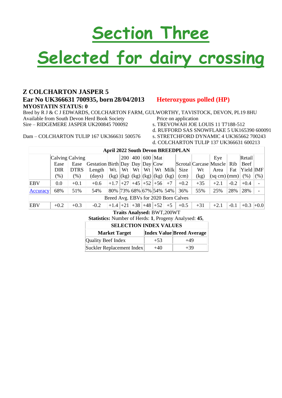# **Section Three**

# **Selected for dairy crossing**

#### **Z COLCHARTON JASPER 5 Ear No UK366631 700935, born 28/04/2013 Heterozygous polled (HP) MYOSTATIN STATUS: 0**

Bred by R J & C J EDWARDS, COLCHARTON FARM, GULWORTHY, TAVISTOCK, DEVON, PL19 8HU Available from South Devon Herd Book Society Price on application Sire – RIDGEMERE JASPER UK200845 700092 s. TREVOWAH JOE LOUIS 11 T7188-512

- 
- d. RUFFORD SAS SNOWFLAKE 5 UK165390 600091
- 
- d. COLCHARTON TULIP 137 UK366631 600213

|                                      | <b>April 2022 South Devon BREEDPLAN</b> |             |                                 |                                           |            |     |     |                            |         |        |                            |                     |        |             |      |
|--------------------------------------|-----------------------------------------|-------------|---------------------------------|-------------------------------------------|------------|-----|-----|----------------------------|---------|--------|----------------------------|---------------------|--------|-------------|------|
|                                      | $\lfloor$ Calving $\lfloor$ Calving     |             |                                 |                                           | <b>200</b> | 400 | 600 | Mat                        |         |        |                            | Eye                 |        | Retail      |      |
|                                      | Ease                                    | Ease        | Gestation Birth Day Day Day Cow |                                           |            |     |     |                            |         |        | Scrotal Carcase Muscle Rib |                     |        | Beef        |      |
|                                      | <b>DIR</b>                              | <b>DTRS</b> | Length                          | Wt.                                       | Wt         | Wt  | Wt  |                            | Wt Milk | Size   | Wt                         | Area                | Fat    | Yield IMF   |      |
|                                      | $(\%)$                                  | $(\%)$      | (days)                          | $(kg)$ $(kg)$ $(kg)$ $(kg)$ $(kg)$ $(kg)$ |            |     |     |                            |         | (cm)   | (kg)                       | $ (sq cm)(mm) $ (%) |        |             | (% ) |
| <b>EBV</b>                           | 0.0                                     | $+0.1$      | $+0.6$                          | $+1.7$ +27 +45 +52 +56                    |            |     |     |                            | $+7$    | $+0.2$ | $+35$                      | $+2.1$              | $-0.2$ | $+0.4$      |      |
| Accuracy                             | 68%                                     | 51%         | 54%                             | 80% 73% 68% 67% 54% 54%                   |            |     |     |                            |         | 36%    | 55%                        | 25%                 | 28%    | 28%         |      |
| Breed Avg. EBVs for 2020 Born Calves |                                         |             |                                 |                                           |            |     |     |                            |         |        |                            |                     |        |             |      |
| <b>EBV</b>                           | $+0.2$                                  | $+0.3$      | $-0.2$                          | $+1.4$ +21 +38 +48 +52                    |            |     |     |                            | $+5$    | $+0.5$ | $+31$                      | $+2.1$              | $-0.1$ | $+0.3$ +0.0 |      |
|                                      |                                         |             |                                 |                                           |            |     |     | Troite Anglyced, DWT 200WT |         |        |                            |                     |        |             |      |

**Traits Analysed:** BWT,200WT **Statistics:** Number of Herds: **1**, Progeny Analysed: **45**,

| <b>SELECTION INDEX VALUES</b> |       |                                  |  |  |  |  |  |  |  |  |
|-------------------------------|-------|----------------------------------|--|--|--|--|--|--|--|--|
| <b>Market Target</b>          |       | <b>Index Value Breed Average</b> |  |  |  |  |  |  |  |  |
| Quality Beef Index            | $+53$ | +49                              |  |  |  |  |  |  |  |  |
| Suckler Replacement Index     | $+40$ | $+39$                            |  |  |  |  |  |  |  |  |

Dam – COLCHARTON TULIP 167 UK366631 500576 s. STRETCHFORD DYNAMIC 4 UK365662 700243